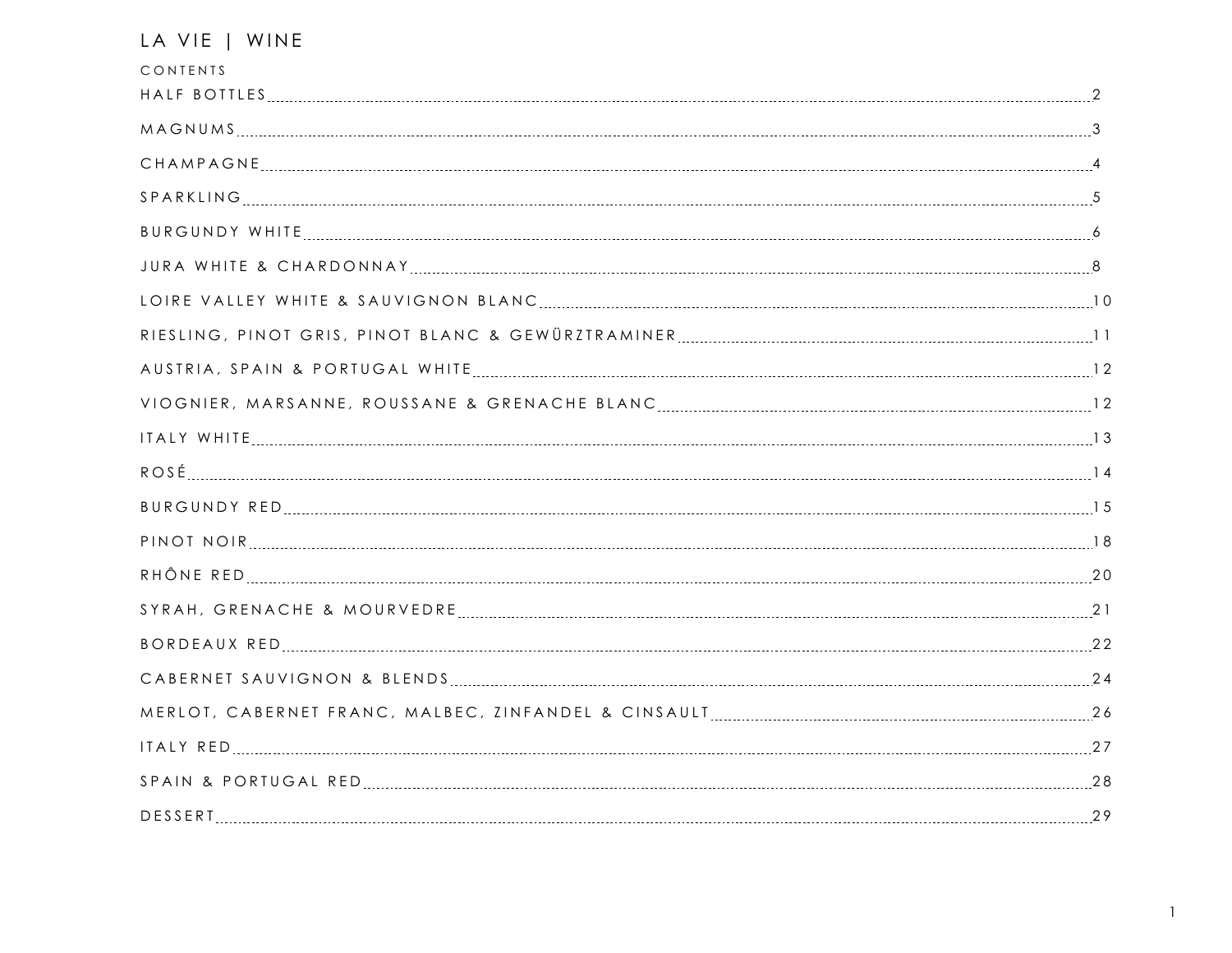| LA VIE   WINE            |  |
|--------------------------|--|
| CONTENTS                 |  |
|                          |  |
|                          |  |
|                          |  |
|                          |  |
|                          |  |
|                          |  |
|                          |  |
|                          |  |
|                          |  |
|                          |  |
|                          |  |
|                          |  |
|                          |  |
|                          |  |
| RHÔNE RED ELELENTE EN 20 |  |
|                          |  |
|                          |  |
|                          |  |
|                          |  |
|                          |  |
|                          |  |
|                          |  |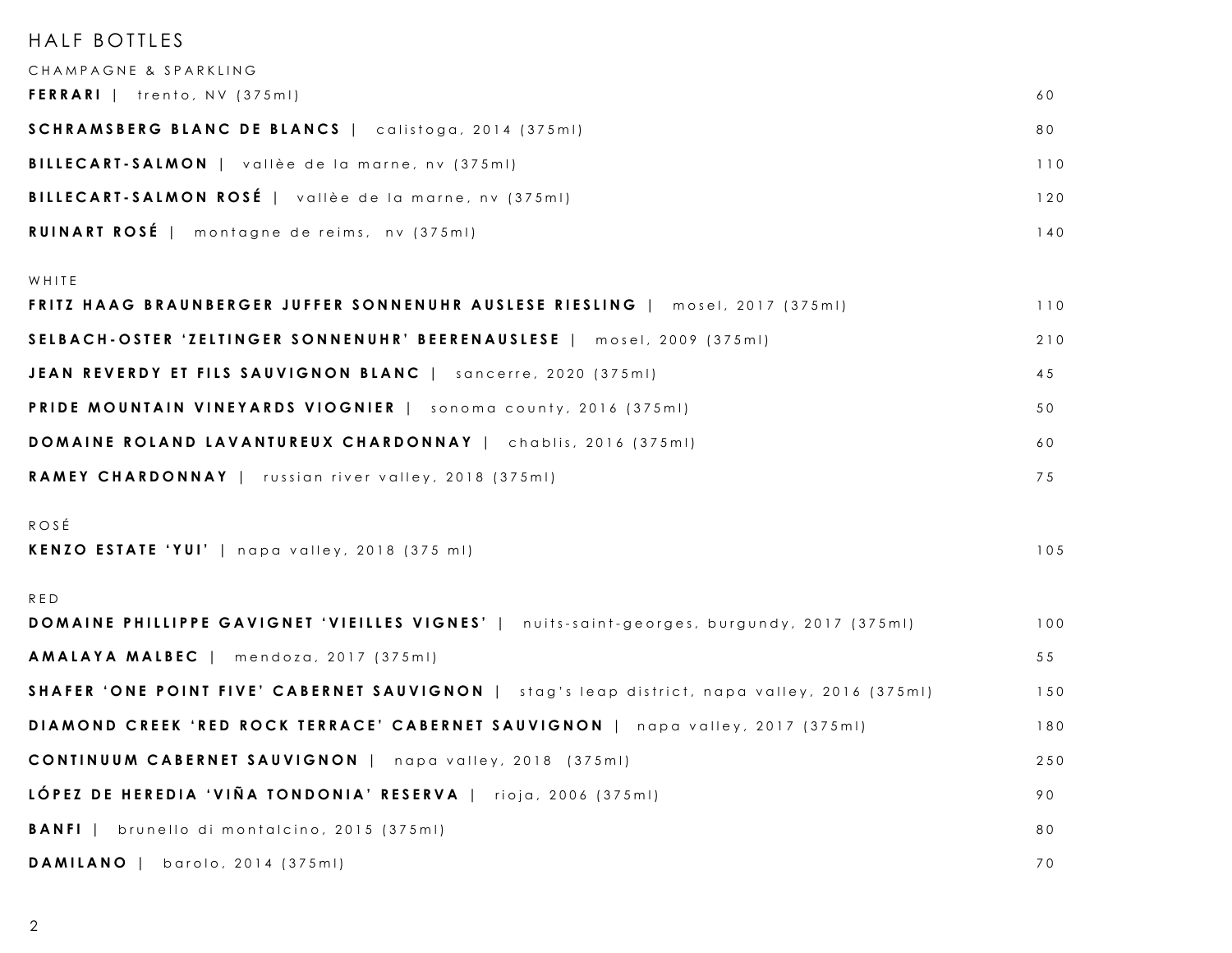| HALF BOTTLES                                                                                 |     |
|----------------------------------------------------------------------------------------------|-----|
| CHAMPAGNE & SPARKLING                                                                        |     |
| FERRARI   trento, NV (375ml)                                                                 | 60  |
| SCHRAMSBERG BLANC DE BLANCS   calistoga, 2014 (375ml)                                        | 80  |
| BILLECART-SALMON   vallèe de la marne, nv (375ml)                                            | 110 |
| <b>BILLECART-SALMON ROSÉ</b>   vallèe de la marne, nv (375ml)                                | 120 |
| RUINART ROSÉ   montagne de reims, nv (375ml)                                                 | 140 |
| WHITE                                                                                        |     |
| FRITZ HAAG BRAUNBERGER JUFFER SONNENUHR AUSLESE RIESLING   mosel, 2017 (375ml)               | 110 |
| SELBACH-OSTER 'ZELTINGER SONNENUHR' BEERENAUSLESE   mosel, 2009 (375ml)                      | 210 |
| JEAN REVERDY ET FILS SAUVIGNON BLANC   sancerre, 2020 (375ml)                                | 45  |
| PRIDE MOUNTAIN VINEYARDS VIOGNIER   sonoma county, 2016 (375ml)                              | 50  |
| DOMAINE ROLAND LAVANTUREUX CHARDONNAY   chablis, 2016 (375ml)                                | 60  |
| <b>RAMEY CHARDONNAY</b>   russian river valley, 2018 (375ml)                                 | 75  |
| ROSÉ                                                                                         |     |
| KENZO ESTATE 'YUI'   napa valley, 2018 (375 ml)                                              | 105 |
| RED                                                                                          |     |
| DOMAINE PHILLIPPE GAVIGNET 'VIEILLES VIGNES'   nuits-saint-georges, burgundy, 2017 (375ml)   | 100 |
| AMALAYA MALBEC   mendoza, 2017 (375ml)                                                       | 55  |
| SHAFER 'ONE POINT FIVE' CABERNET SAUVIGNON   stag's leap district, napa valley, 2016 (375ml) | 150 |
| DIAMOND CREEK 'RED ROCK TERRACE' CABERNET SAUVIGNON   napa valley, 2017 (375ml)              | 180 |
| <b>CONTINUUM CABERNET SAUVIGNON</b>   napa valley, 2018 (375ml)                              | 250 |
| LÓPEZ DE HEREDIA 'VIÑA TONDONIA' RESERVA   rioja, 2006 (375ml)                               | 90  |
| <b>BANFI</b>   brunello di montalcino, 2015 (375ml)                                          | 80  |
| DAMILANO  <br>barolo, 2014 (375ml)                                                           | 70  |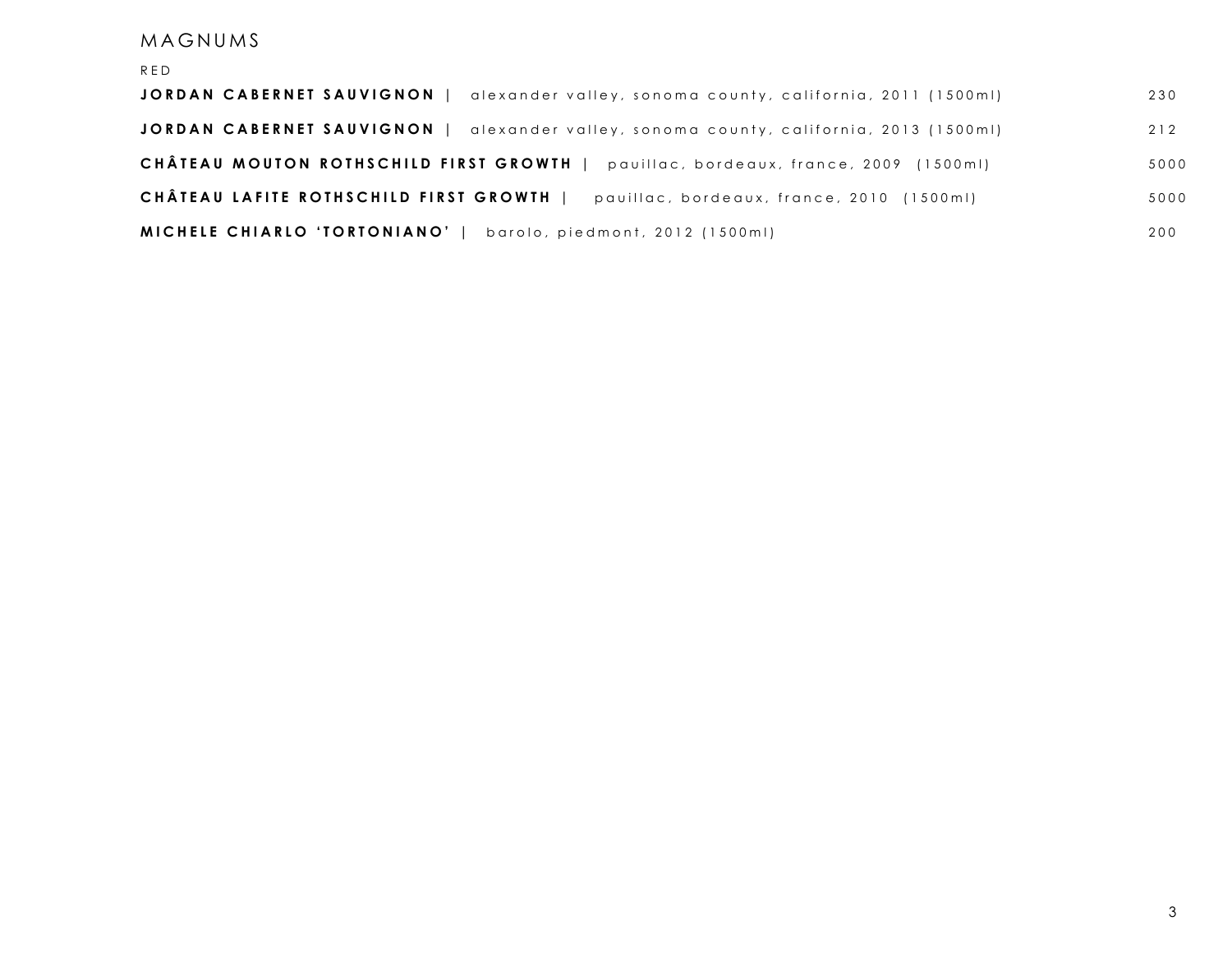### MAGNUMS

| RED                                                                                     |       |
|-----------------------------------------------------------------------------------------|-------|
| JORDAN CABERNET SAUVIGNON<br>alexander valley, sonoma county, california, 2011 (1500ml) | 230   |
| JORDAN CABERNET SAUVIGNON<br>alexander valley, sonoma county, california, 2013 (1500ml) | 2   2 |
| CHÂTEAU MOUTON ROTHSCHILD FIRST GROWTH  <br>pauillac, bordeaux, france, 2009 (1500ml)   | 5000  |
| CHÂTEAU LAFITE ROTHSCHILD FIRST GROWTH  <br>pauillac, bordeaux, france, 2010 (1500ml)   | 5000  |
| MICHELE CHIARLO 'TORTONIANO'<br>barolo, piedmont, 2012 (1500ml)                         | 200   |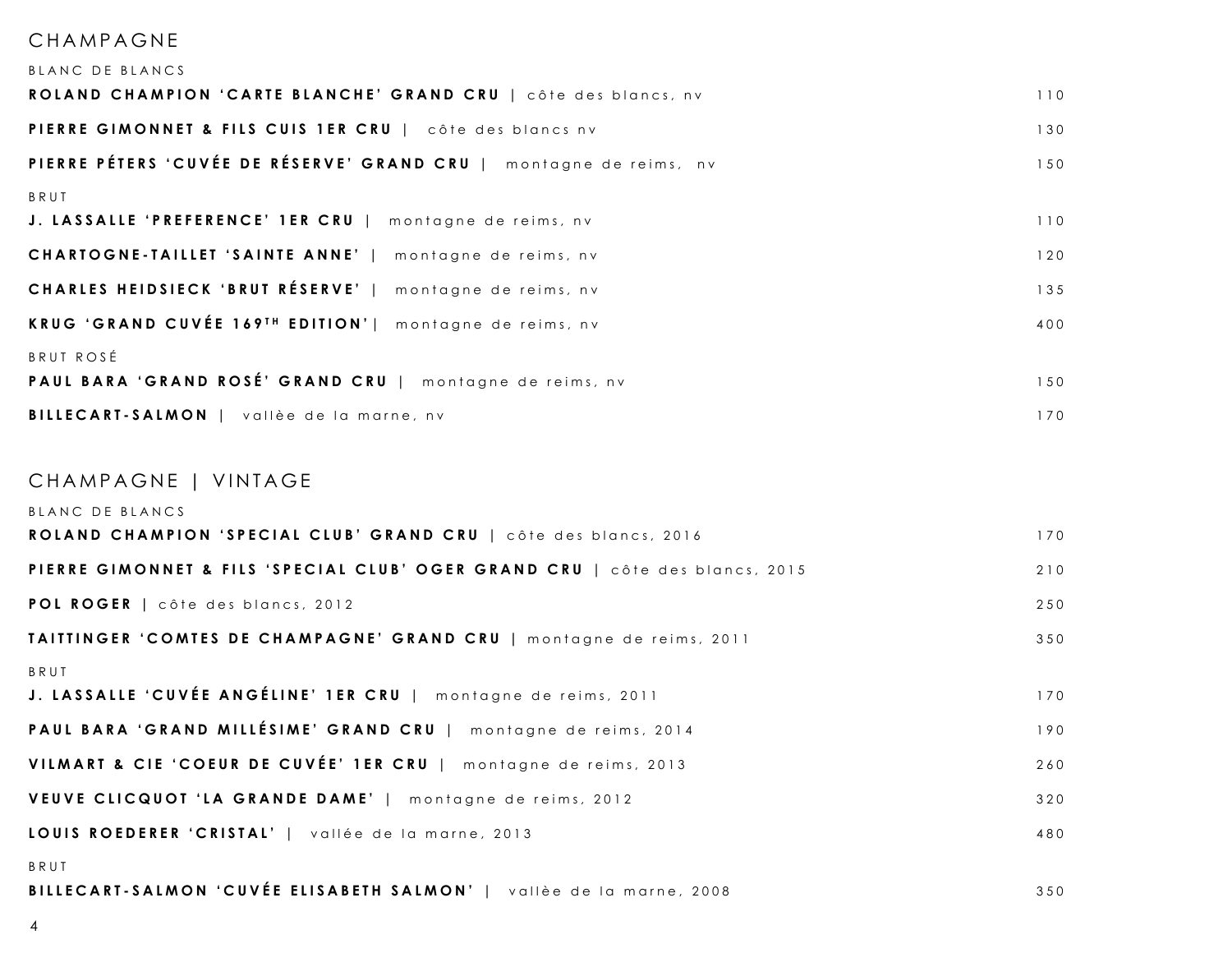#### CHAMPAGNE

| BLANC DE BLANCS                                                              |     |
|------------------------------------------------------------------------------|-----|
| ROLAND CHAMPION 'CARTE BLANCHE' GRAND CRU   côte des blancs, nv              | 110 |
| PIERRE GIMONNET & FILS CUIS 1ER CRU   côte des blancs nv                     | 130 |
| PIERRE PÉTERS 'CUVÉE DE RÉSERVE' GRAND CRU   montagne de reims, nv           | 150 |
| BRUT                                                                         |     |
| J. LASSALLE 'PREFERENCE' 1ER CRU   montagne de reims, nv                     | 110 |
| CHARTOGNE-TAILLET 'SAINTE ANNE'   montagne de reims, nv                      | 120 |
| CHARLES HEIDSIECK 'BRUT RÉSERVE'   montagne de reims, nv                     | 135 |
| KRUG 'GRAND CUVÉE 169TH EDITION'   montagne de reims, nv                     | 400 |
| BRUT ROSÉ                                                                    |     |
| PAUL BARA 'GRAND ROSÉ' GRAND CRU   montagne de reims, nv                     | 150 |
| BILLECART-SALMON   vallèe de la marne, nv                                    | 170 |
|                                                                              |     |
| CHAMPAGNE   VINTAGE                                                          |     |
| BLANC DE BLANCS                                                              |     |
| ROLAND CHAMPION 'SPECIAL CLUB' GRAND CRU   côte des blancs, 2016             | 170 |
| PIERRE GIMONNET & FILS 'SPECIAL CLUB' OGER GRAND CRU   côte des blancs, 2015 | 210 |
| POL ROGER   côte des blancs, 2012                                            | 250 |
| TAITTINGER 'COMTES DE CHAMPAGNE' GRAND CRU   montagne de reims, 2011         | 350 |
| BRUT                                                                         |     |
| J. LASSALLE 'CUVÉE ANGÉLINE' 1ER CRU   montagne de reims, 2011               | 170 |
| PAUL BARA 'GRAND MILLÉSIME' GRAND CRU   montagne de reims, 2014              | 190 |
| VILMART & CIE 'COEUR DE CUVÉE' 1ER CRU   montagne de reims, 2013             | 260 |
| VEUVE CLICQUOT 'LA GRANDE DAME'   montagne de reims, 2012                    | 320 |
| LOUIS ROEDERER 'CRISTAL'   vallée de la marne, 2013                          | 480 |
| BRUT                                                                         |     |
| BILLECART-SALMON 'CUVÉE ELISABETH SALMON'   vallèe de la marne, 2008         | 350 |
|                                                                              |     |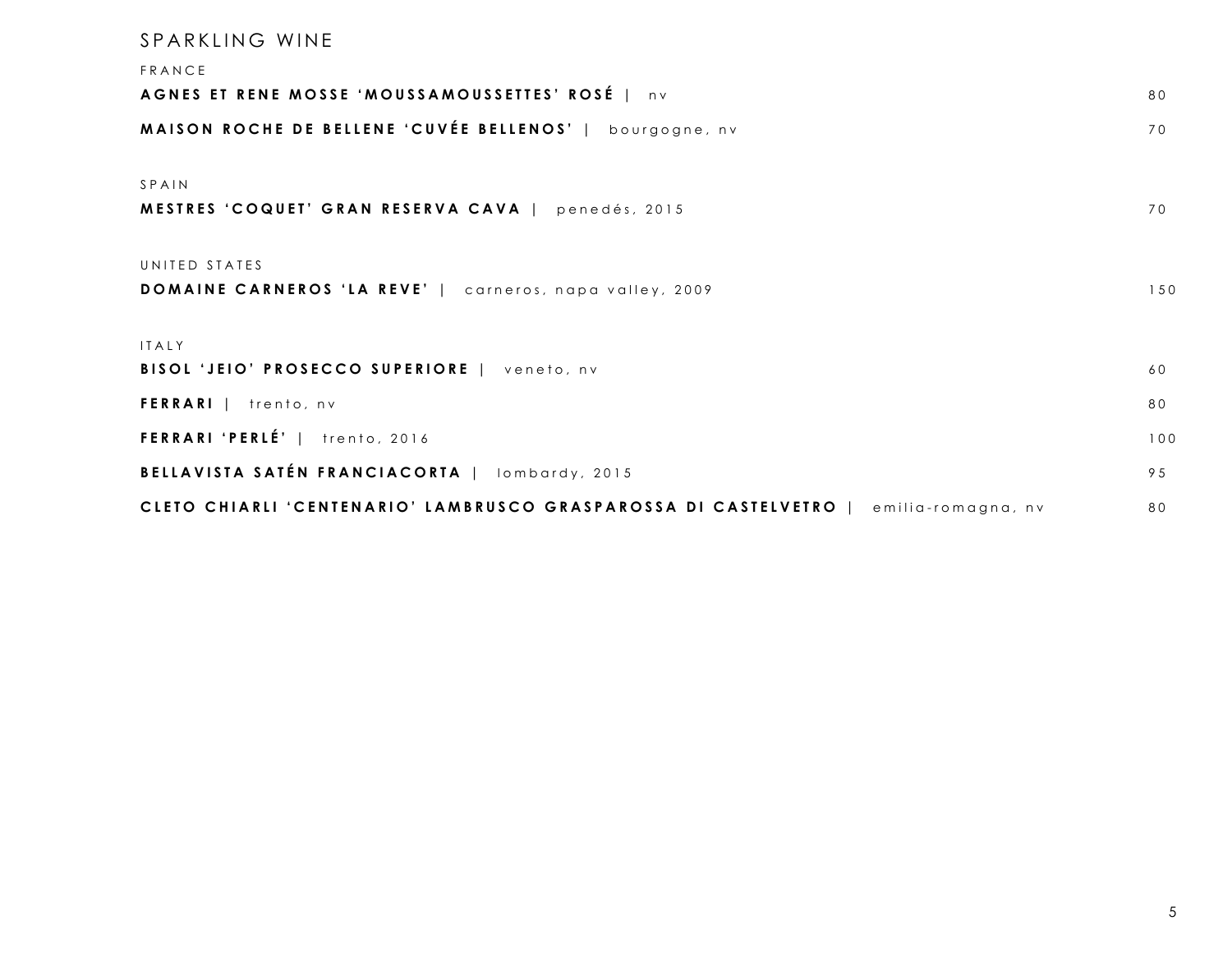# SPARKLING WINE FRANCE **AGNES ET RENE MOSSE ' MOUSSAMOUSSETTES ' ROSÉ** | n v 8 0 **MAISON ROCHE DE BELLENE ' CUVÉE BELLENOS '** | bourgogne , n v 7 0 SPAIN **MESTRES ' C OQUET ' GRAN RESERVA CAVA** | pened é s, 2015 7 0 UNITED STATES **DOMAINE CARNEROS 'LA REVE'** | carneros, napa valley, 2009 150 ITALY **BISOL 'JEIO' PROSECCO SUPERIORE** | veneto, nv 60 **FERRARI** | trento, nv **FERRARI 'PERLÉ'** | trento, 2016 100 **BELLAVISTA SATÉN FRANCIACORTA** | lombardy, 2015 **1999** 1995 1995 1999 CLETO CHIARLI 'CENTENARIO' LAMBRUSCO GRASPAROSSA DI CASTELVETRO | emilia-romagna, nv 80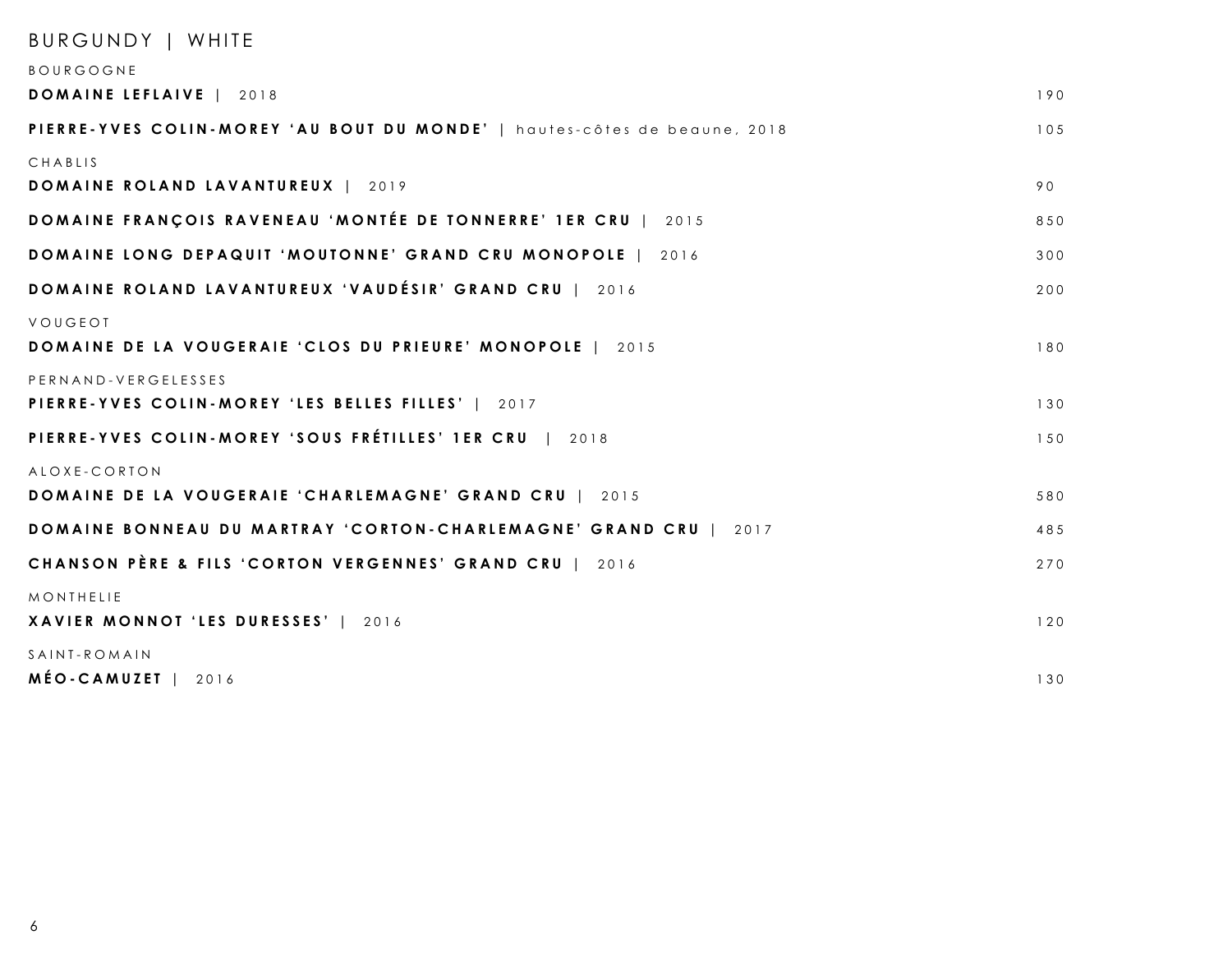| BURGUNDY   WHITE                                                          |     |
|---------------------------------------------------------------------------|-----|
| BOURGOGNE                                                                 |     |
| <b>DOMAINE LEFLAIVE</b>   2018                                            | 190 |
| PIERRE-YVES COLIN-MOREY 'AU BOUT DU MONDE'   hautes-côtes de beaune, 2018 | 105 |
| CHABLIS                                                                   |     |
| <b>DOMAINE ROLAND LAVANTUREUX   2019</b>                                  | 90  |
| <b>DOMAINE FRANÇOIS RAVENEAU 'MONTÉE DE TONNERRE' 1ER CRU   2015</b>      | 850 |
| <b>DOMAINE LONG DEPAQUIT 'MOUTONNE' GRAND CRU MONOPOLE</b>   2016         | 300 |
| DOMAINE ROLAND LAVANTUREUX 'VAUDÉSIR' GRAND CRU   2016                    | 200 |
| VOUGEOI                                                                   |     |
| <b>DOMAINE DE LA VOUGERAIE 'CLOS DU PRIEURE' MONOPOLE   2015</b>          | 180 |
| PERNAND-VERGELESSES                                                       |     |
| PIERRE-YVES COLIN-MOREY 'LES BELLES FILLES'   2017                        | 130 |
| PIERRE-YVES COLIN-MOREY 'SOUS FRÉTILLES' 1ER CRU   2018                   | 150 |
| ALOXE-CORTON                                                              |     |
| <b>DOMAINE DE LA VOUGERAIE 'CHARLEMAGNE' GRAND CRU   2015</b>             | 580 |
| <b>DOMAINE BONNEAU DU MARTRAY 'CORTON-CHARLEMAGNE' GRAND CRU   2017</b>   | 485 |
| CHANSON PÈRE & FILS 'CORTON VERGENNES' GRAND CRU   2016                   | 270 |
| MONTHELIE                                                                 |     |
| XAVIER MONNOT 'LES DURESSES'   2016                                       | 120 |
| SAINT-ROMAIN                                                              |     |
| MÉO-CAMUZET  <br>2016                                                     | 130 |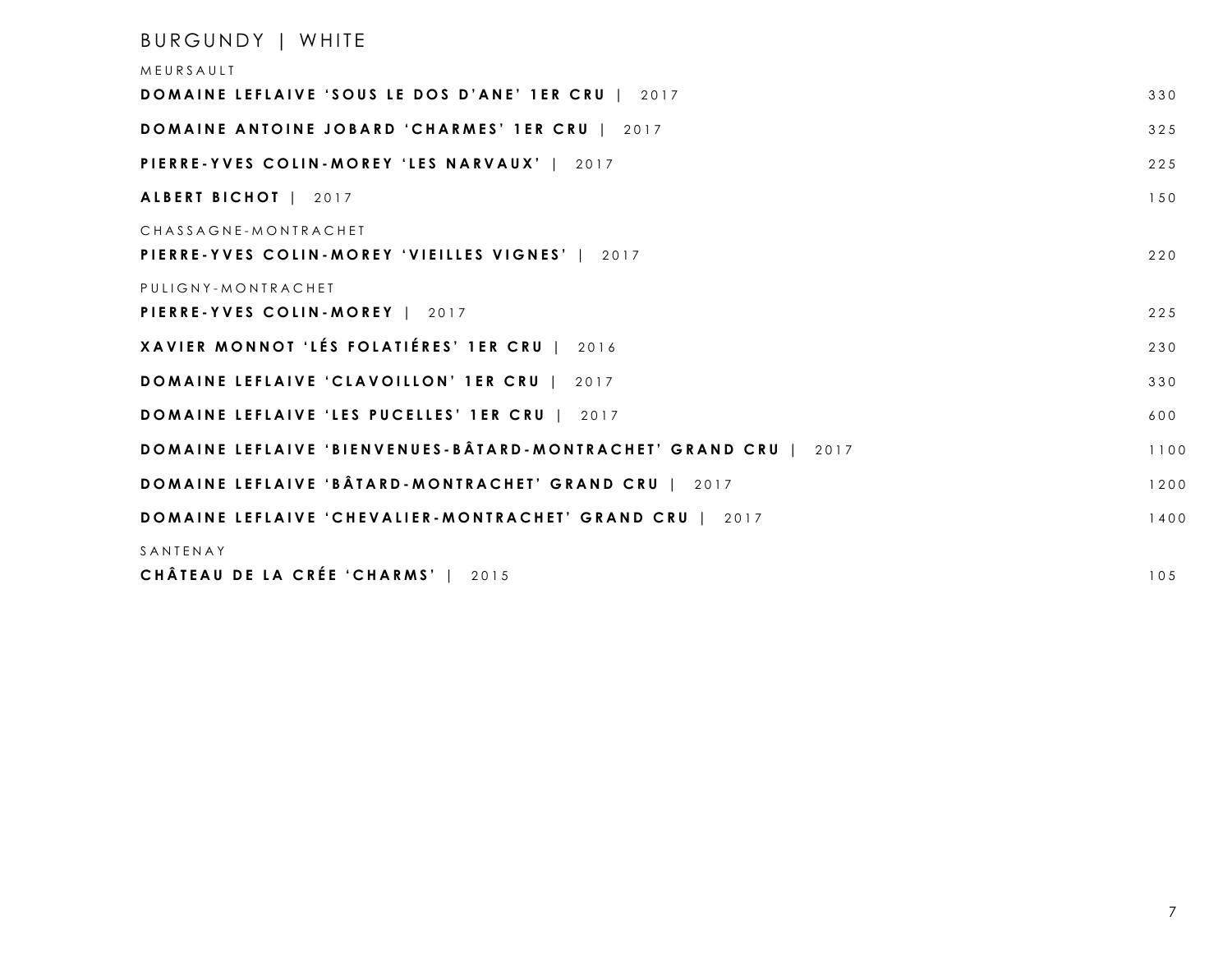### BURGUNDY | WHITE

| MEURSAULT                                                                |      |
|--------------------------------------------------------------------------|------|
| DOMAINE LEFLAIVE 'SOUS LE DOS D'ANE' 1ER CRU   2017                      | 330  |
| <b>DOMAINE ANTOINE JOBARD 'CHARMES' 1ER CRU   2017</b>                   | 325  |
| PIERRE-YVES COLIN-MOREY 'LES NARVAUX'   2017                             | 225  |
| ALBERT BICHOT   2017                                                     | 150  |
| CHASSAGNE-MONTRACHET<br>PIERRE-YVES COLIN-MOREY 'VIEILLES VIGNES'   2017 | 220  |
| PULIGNY-MONTRACHET<br>PIERRE-YVES COLIN-MOREY   2017                     | 225  |
| XAVIER MONNOT 'LÉS FOLATIÉRES' 1ER CRU   2016                            | 230  |
| <b>DOMAINE LEFLAIVE 'CLAVOILLON' 1ER CRU   2017</b>                      | 330  |
| DOMAINE LEFLAIVE 'LES PUCELLES' 1ER CRU   2017                           | 600  |
| <b>DOMAINE LEFLAIVE 'BIENVENUES-BÂTARD-MONTRACHET' GRAND CRU   2017</b>  | 1100 |
| <b>DOMAINE LEFLAIVE 'BÂTARD-MONTRACHET' GRAND CRU   2017</b>             | 1200 |
| <b>DOMAINE LEFLAIVE 'CHEVALIER-MONTRACHET' GRAND CRU   2017</b>          | 1400 |
| SANTENAY<br>CHÂTEAU DE LA CRÉE 'CHARMS'  <br>2015                        | 105  |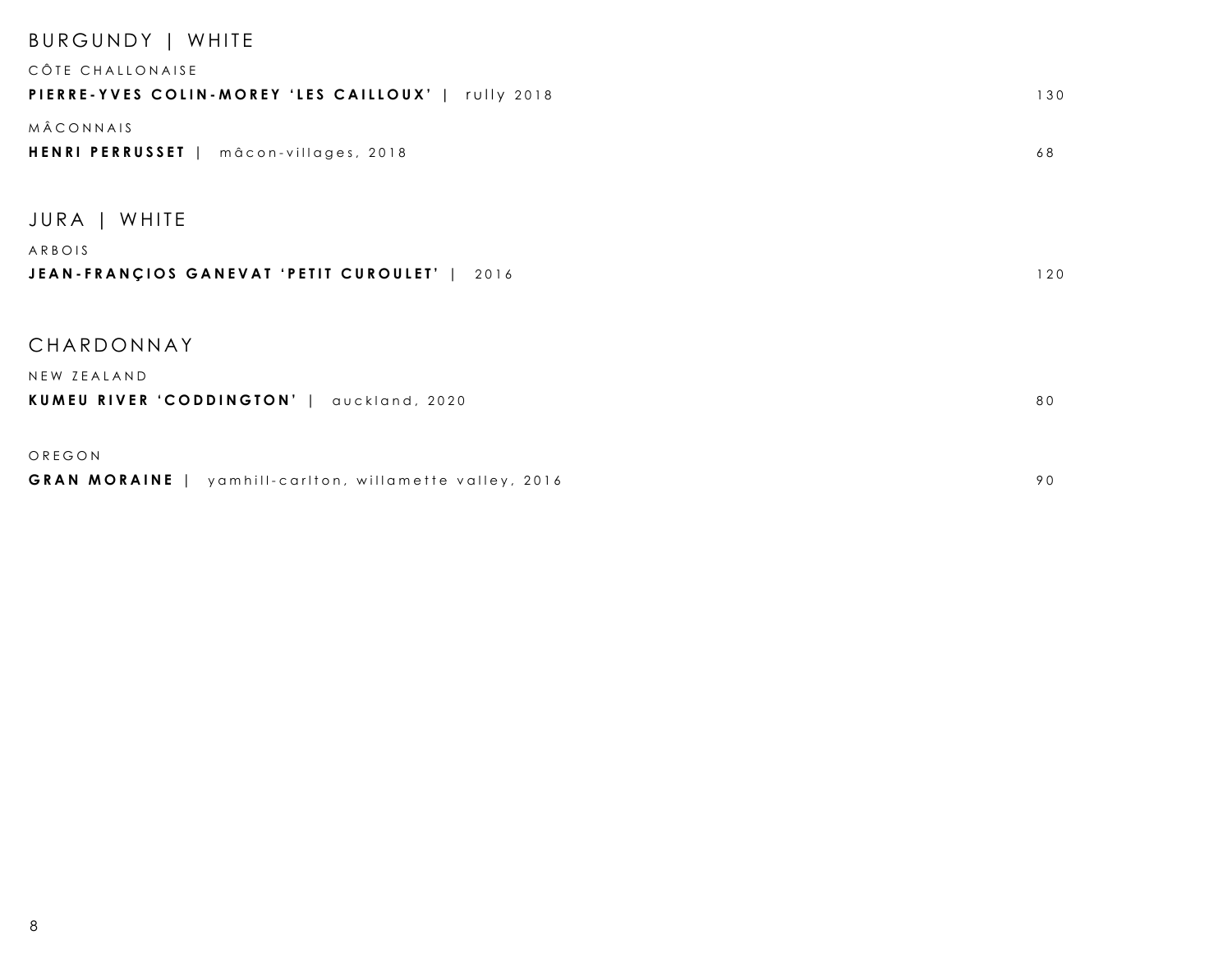| BURGUNDY   WHITE                                        |     |
|---------------------------------------------------------|-----|
| CÔTE CHALLONAISE                                        |     |
| PIERRE-YVES COLIN-MOREY 'LES CAILLOUX'   rully 2018     | 130 |
| MÂCONNAIS                                               |     |
| HENRI PERRUSSET   mâcon-villages, 2018                  | 68  |
|                                                         |     |
| JURA   WHITE                                            |     |
| ARBOIS                                                  |     |
| JEAN-FRANÇIOS GANEVAT 'PETIT CUROULET'   2016           | 120 |
|                                                         |     |
|                                                         |     |
| CHARDONNAY                                              |     |
| NEW ZEALAND                                             |     |
| KUMEU RIVER 'CODDINGTON'   auckland, 2020               | 80  |
|                                                         |     |
| OREGON                                                  |     |
| GRAN MORAINE   yamhill-carlton, willamette valley, 2016 | 90  |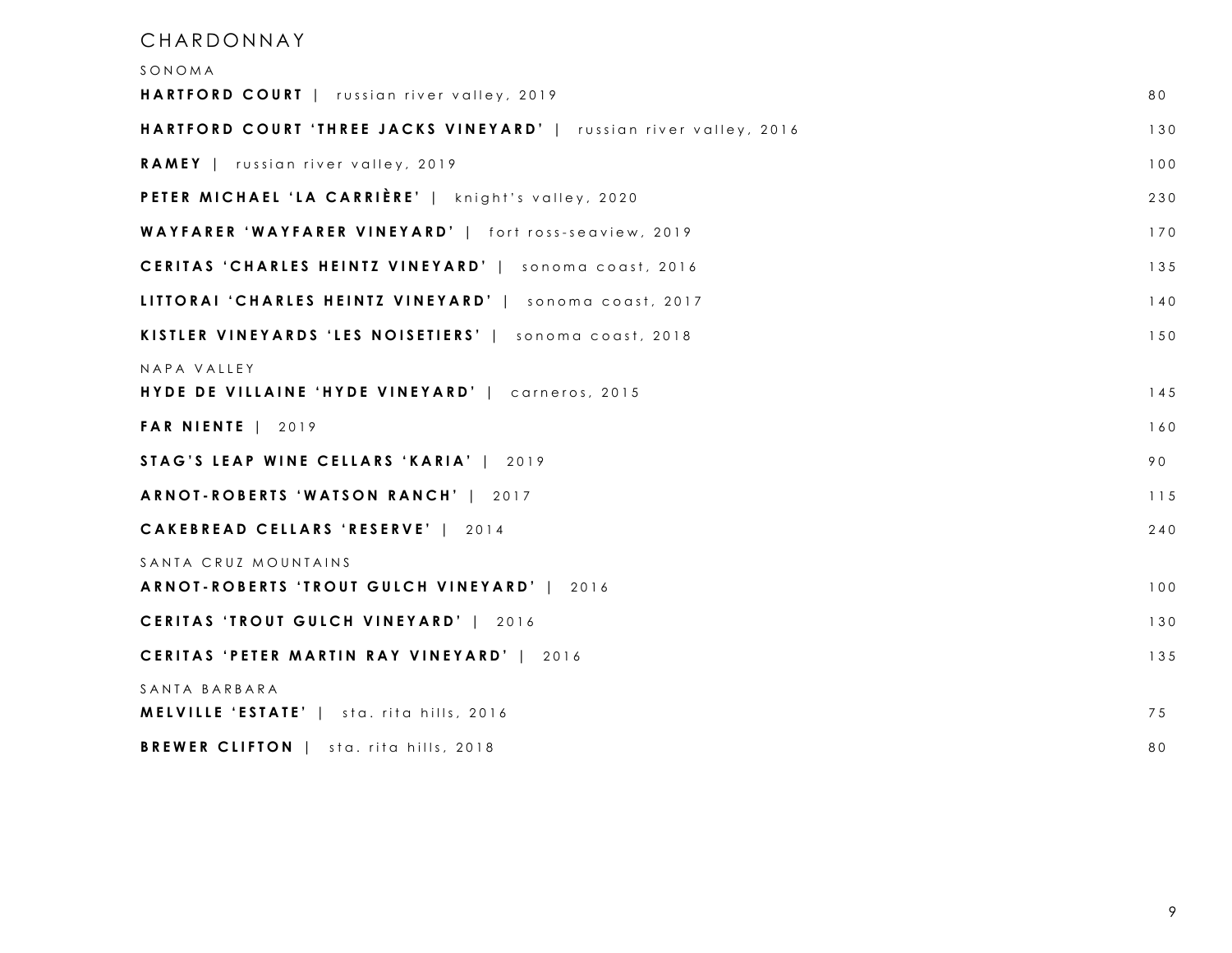#### CHARDONNAY

| SONOMA                                                              |     |
|---------------------------------------------------------------------|-----|
| HARTFORD COURT   russian river valley, 2019                         | 80  |
| HARTFORD COURT 'THREE JACKS VINEYARD'   russian river valley, 2016  | 130 |
| RAMEY   russian river valley, 2019                                  | 100 |
| PETER MICHAEL 'LA CARRIÈRE'   knight's valley, 2020                 | 230 |
| WAYFARER 'WAYFARER VINEYARD'   fort ross-seaview, 2019              | 170 |
| CERITAS 'CHARLES HEINTZ VINEYARD'   sonoma coast, 2016              | 135 |
| LITTORAI 'CHARLES HEINTZ VINEYARD'   sonoma coast, 2017             | 140 |
| KISTLER VINEYARDS 'LES NOISETIERS'   sonoma coast, 2018             | 150 |
| NAPA VALLEY<br>HYDE DE VILLAINE 'HYDE VINEYARD'   carneros, 2015    | 145 |
| <b>FAR NIENTE   2019</b>                                            | 160 |
| STAG'S LEAP WINE CELLARS 'KARIA'   2019                             | 90  |
| ARNOT-ROBERTS 'WATSON RANCH'   2017                                 | 115 |
| CAKEBREAD CELLARS 'RESERVE'   2014                                  | 240 |
| SANTA CRUZ MOUNTAINS<br>ARNOT-ROBERTS 'TROUT GULCH VINEYARD'   2016 | 100 |
| CERITAS 'TROUT GULCH VINEYARD'   2016                               | 130 |
| CERITAS 'PETER MARTIN RAY VINEYARD'   2016                          | 135 |
| SANTA BARBARA<br><b>MELVILLE 'ESTATE'</b>   sta. rita hills, 2016   | 75  |
| <b>BREWER CLIFTON</b>   sta. rita hills, 2018                       | 80  |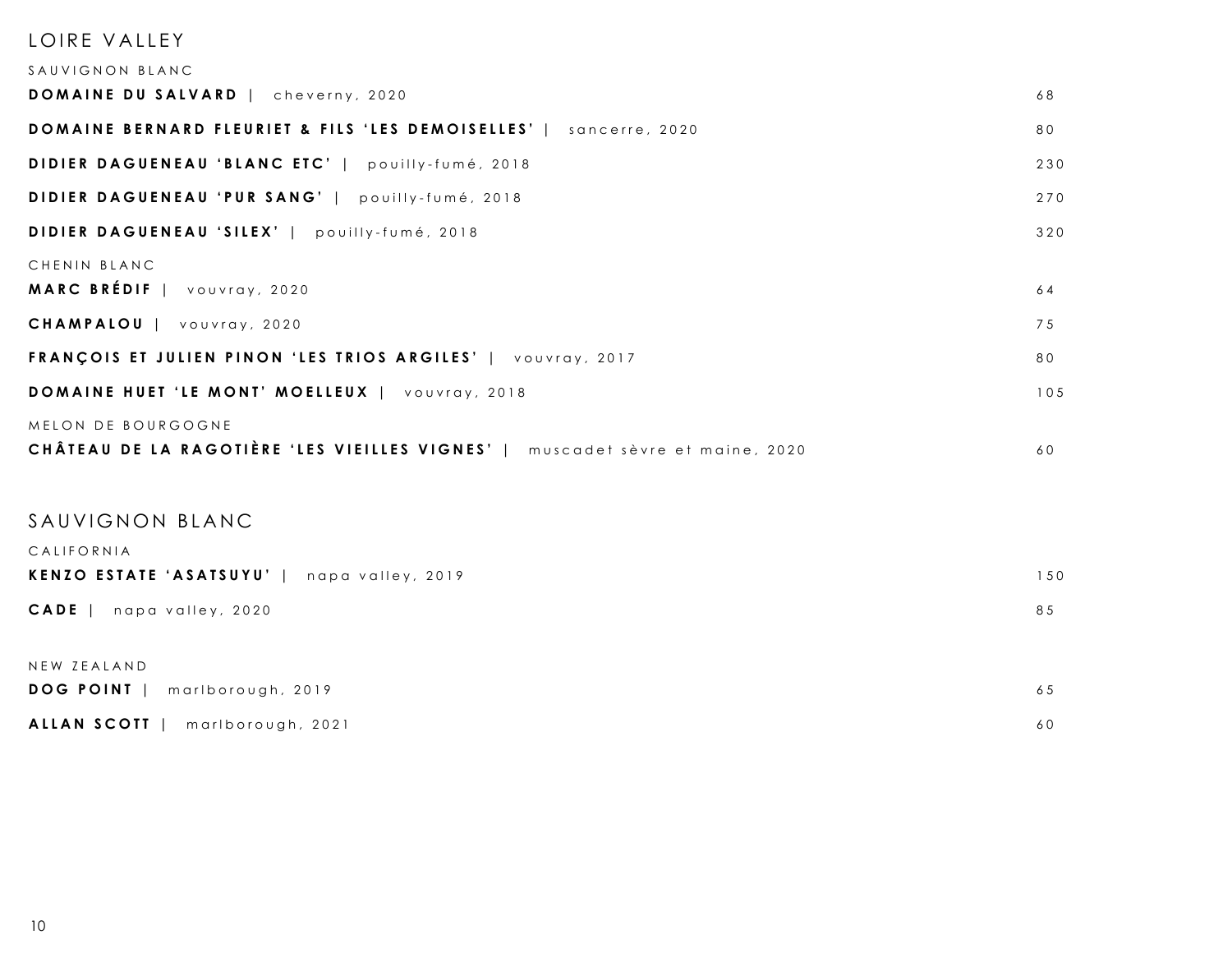| LOIRE VALLEY<br>SAUVIGNON BLANC                                                                     |     |
|-----------------------------------------------------------------------------------------------------|-----|
| DOMAINE DU SALVARD   cheverny, 2020                                                                 | 68  |
| DOMAINE BERNARD FLEURIET & FILS 'LES DEMOISELLES'   sancerre, 2020                                  | 80  |
| DIDIER DAGUENEAU 'BLANC ETC'   pouilly-fumé, 2018                                                   | 230 |
| DIDIER DAGUENEAU 'PUR SANG'   pouilly-fumé, 2018                                                    | 270 |
| DIDIER DAGUENEAU 'SILEX'   pouilly-fumé, 2018                                                       | 320 |
| CHENIN BLANC<br>MARC BRÉDIF   vouvray, 2020                                                         | 64  |
| CHAMPALOU   vouvray, 2020                                                                           | 75  |
| FRANÇOIS ET JULIEN PINON 'LES TRIOS ARGILES'   VOUVray, 2017                                        | 80  |
| DOMAINE HUET 'LE MONT' MOELLEUX   vouvray, 2018                                                     | 105 |
| MELON DE BOURGOGNE<br>CHÂTEAU DE LA RAGOTIÈRE 'LES VIEILLES VIGNES'   muscadet sèvre et maine, 2020 | 60  |
| SAUVIGNON BLANC<br>CALIFORNIA                                                                       |     |
| KENZO ESTATE 'ASATSUYU'   napa valley, 2019                                                         | 150 |
| CADE   napa valley, 2020                                                                            | 85  |
| NEW ZEALAND<br>DOG POINT   marlborough, 2019                                                        | 65  |

|  | ALLAN SCOTT   marlborough, 2021 |  |
|--|---------------------------------|--|
|--|---------------------------------|--|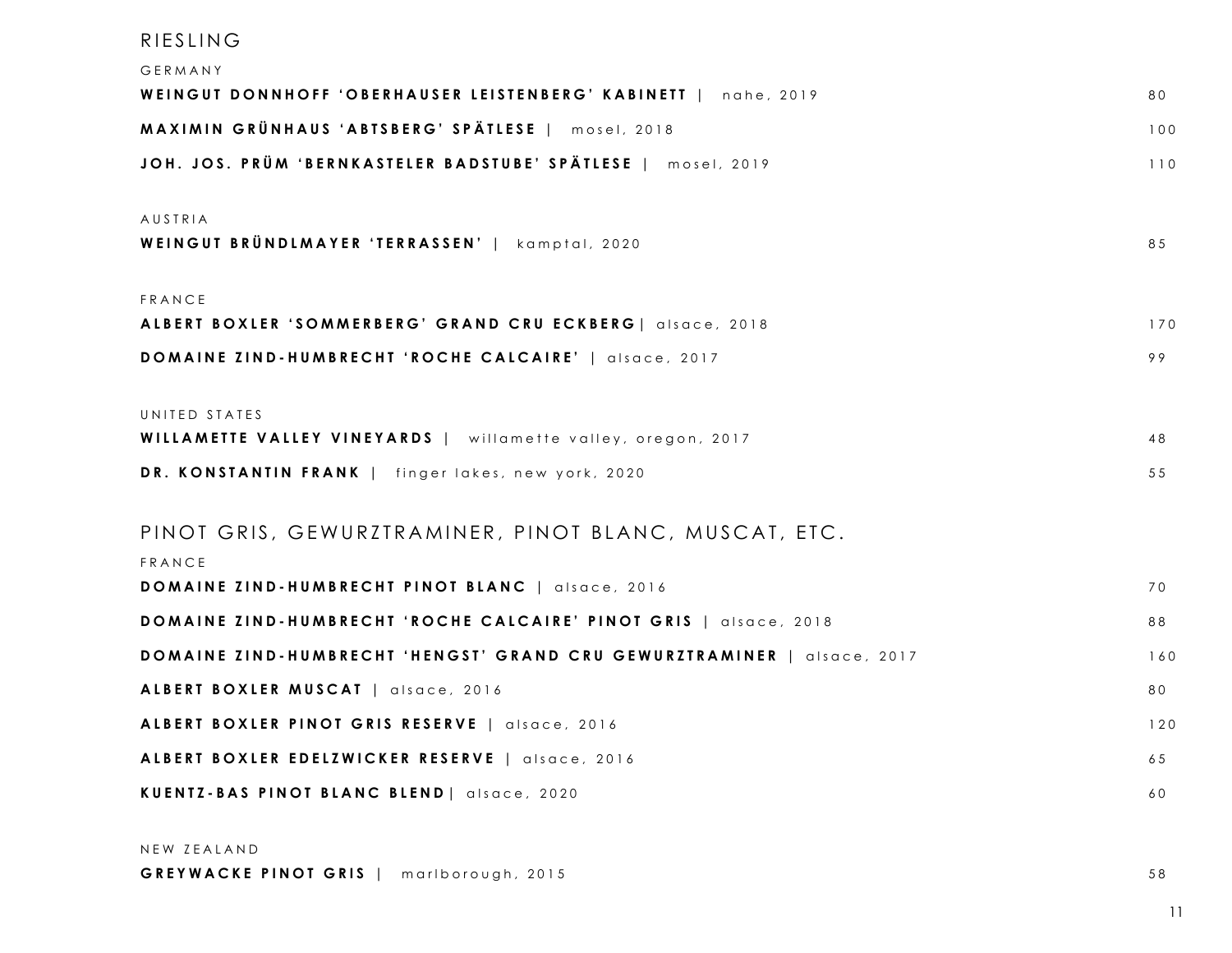| RIESLING                                                  |  |
|-----------------------------------------------------------|--|
| $\cap$ $\subset$ $\cap$ $\wedge$ $\wedge$ $\wedge$ $\vee$ |  |

| GERMANY                                                                 |     |
|-------------------------------------------------------------------------|-----|
| WEINGUT DONNHOFF 'OBERHAUSER LEISTENBERG' KABINETT   nahe, 2019         | 80  |
| MAXIMIN GRÜNHAUS 'ABTSBERG' SPÄTLESE   mosel, 2018                      | 100 |
| JOH. JOS. PRÜM 'BERNKASTELER BADSTUBE' SPÄTLESE   mosel, 2019           | 110 |
| AUSTRIA                                                                 |     |
| WEINGUT BRÜNDLMAYER 'TERRASSEN'   kamptal, 2020                         | 85  |
| FRANCE                                                                  |     |
| ALBERT BOXLER 'SOMMERBERG' GRAND CRU ECKBERG   alsace, 2018             | 170 |
| DOMAINE ZIND-HUMBRECHT 'ROCHE CALCAIRE'   alsace, 2017                  | 99  |
| UNITED STATES                                                           |     |
| WILLAMETTE VALLEY VINEYARDS   willamette valley, oregon, 2017           | 48  |
| DR. KONSTANTIN FRANK   finger lakes, new york, 2020                     | 55  |
| PINOT GRIS, GEWURZTRAMINER, PINOT BLANC, MUSCAT, ETC.<br>FRANCE         |     |
| DOMAINE ZIND-HUMBRECHT PINOT BLANC   alsace, 2016                       | 70  |
| DOMAINE ZIND-HUMBRECHT 'ROCHE CALCAIRE' PINOT GRIS   alsace, 2018       | 88  |
| DOMAINE ZIND-HUMBRECHT 'HENGST' GRAND CRU GEWURZTRAMINER   alsace, 2017 | 160 |
| ALBERT BOXLER MUSCAT   alsace, 2016                                     | 80  |
| ALBERT BOXLER PINOT GRIS RESERVE   alsace, 2016                         | 120 |
| ALBERT BOXLER EDELZWICKER RESERVE   alsace, 2016                        | 65  |
| KUENTZ-BAS PINOT BLANC BLEND   alsace, 2020                             | 60  |
| NEW ZEALAND                                                             |     |

GREYWACKE PINOT GRIS | marlborough, 2015 58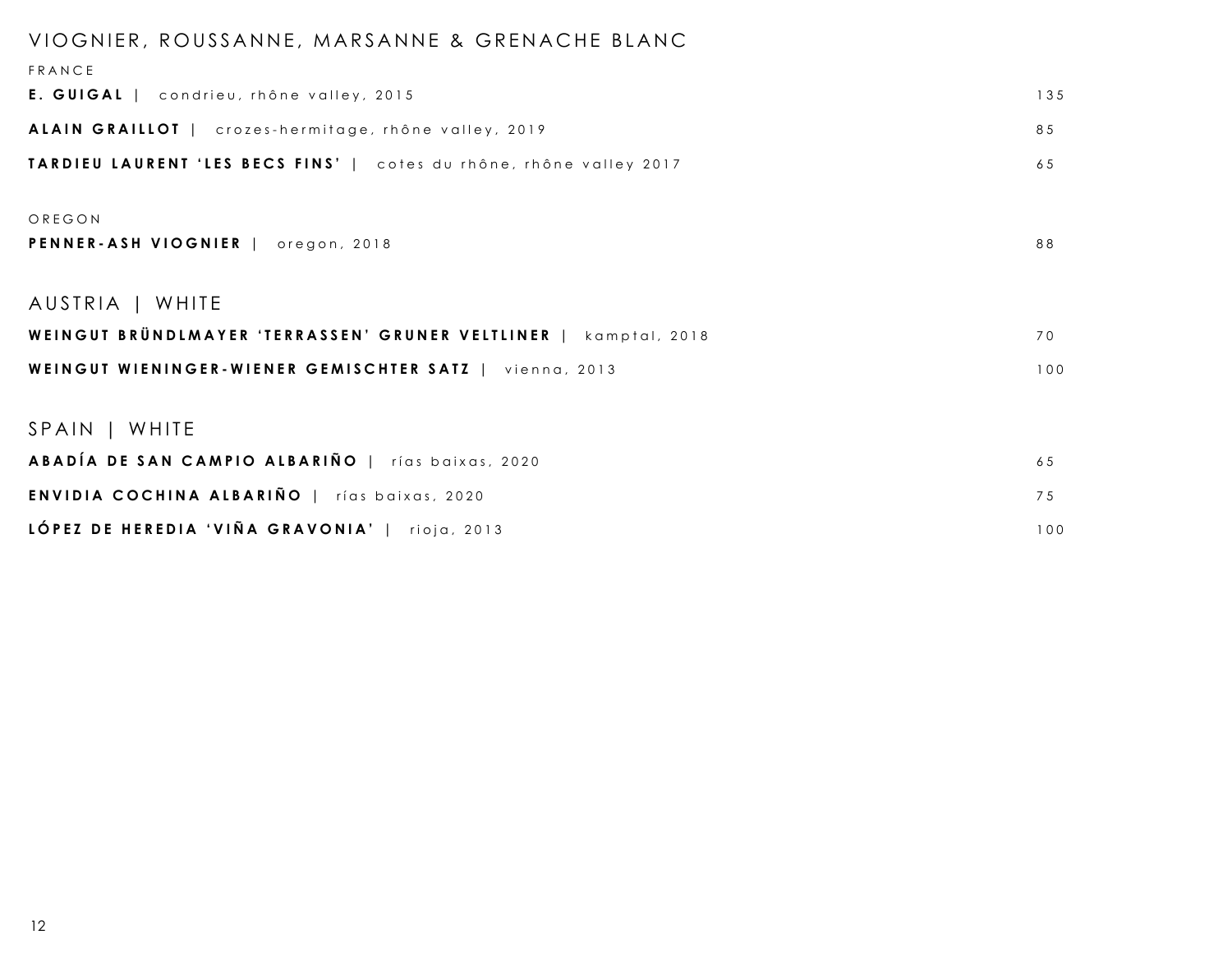### VIOGNIER, ROUSSANNE, MARSANNE & GRENACHE BLANC

| FRANCE                                                              |     |
|---------------------------------------------------------------------|-----|
| E. GUIGAL   condrieu, rhône valley, 2015                            | 135 |
| ALAIN GRAILLOT   crozes-hermitage, rhône valley, 2019               | 85  |
| TARDIEU LAURENT 'LES BECS FINS'   cotes du rhône, rhône valley 2017 | 65  |
| OREGON                                                              |     |
|                                                                     |     |
| PENNER-ASH VIOGNIER   oregon, 2018                                  | 88  |
| AUSTRIA   WHITE                                                     |     |
| WEINGUT BRÜNDLMAYER 'TERRASSEN' GRUNER VELTLINER   kamptal, 2018    | 70  |
| WEINGUT WIENINGER-WIENER GEMISCHTER SATZ   vienna, 2013             | 100 |
|                                                                     |     |
| SPAIN   WHITE                                                       |     |
| ABADÍA DE SAN CAMPIO ALBARIÑO   rías baixas, 2020                   | 65  |
| <b>ENVIDIA COCHINA ALBARIÑO   rías baixas, 2020</b>                 | 75  |
| LÓPEZ DE HEREDIA 'VIÑA GRAVONIA'   rioja, 2013                      | 100 |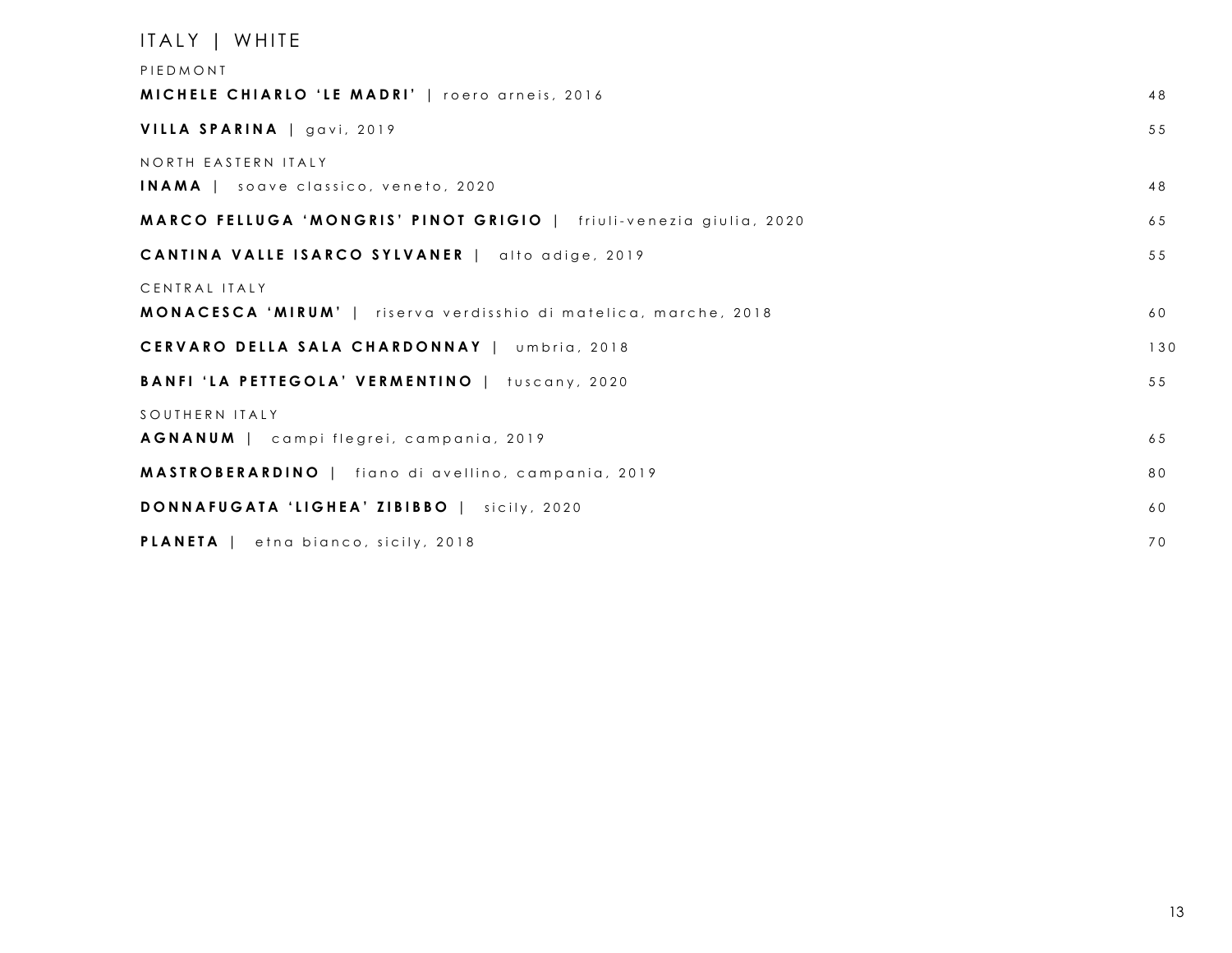| ITALY   WHITE                                                           |     |
|-------------------------------------------------------------------------|-----|
| PIEDMONT                                                                |     |
| MICHELE CHIARLO 'LE MADRI'   roero arneis, 2016                         | 48  |
| VILLA SPARINA   gavi, 2019                                              | 55  |
| NORTH EASTERN ITALY                                                     |     |
| <b>INAMA</b>   soave classico, veneto, 2020                             | 48  |
| MARCO FELLUGA 'MONGRIS' PINOT GRIGIO   friuli-venezia giulia, 2020      | 65  |
| CANTINA VALLE ISARCO SYLVANER   alto adige, 2019                        | 55  |
| CENTRAL ITALY                                                           |     |
| <b>MONACESCA 'MIRUM'</b>   riserva verdisshio di matelica, marche, 2018 | 60  |
| CERVARO DELLA SALA CHARDONNAY   umbria, 2018                            | 130 |
| BANFI 'LA PETTEGOLA' VERMENTINO   tuscany, 2020                         | 55  |
| SOUTHERN ITALY                                                          |     |
| <b>AGNANUM</b>   campi flegrei, campania, 2019                          | 65  |
| <b>MASTROBERARDINO</b>   fiano di avellino, campania, 2019              | 80  |
| DONNAFUGATA 'LIGHEA' ZIBIBBO   sicily, 2020                             | 60  |
| PLANETA   etna bianco, sicily, 2018                                     | 70  |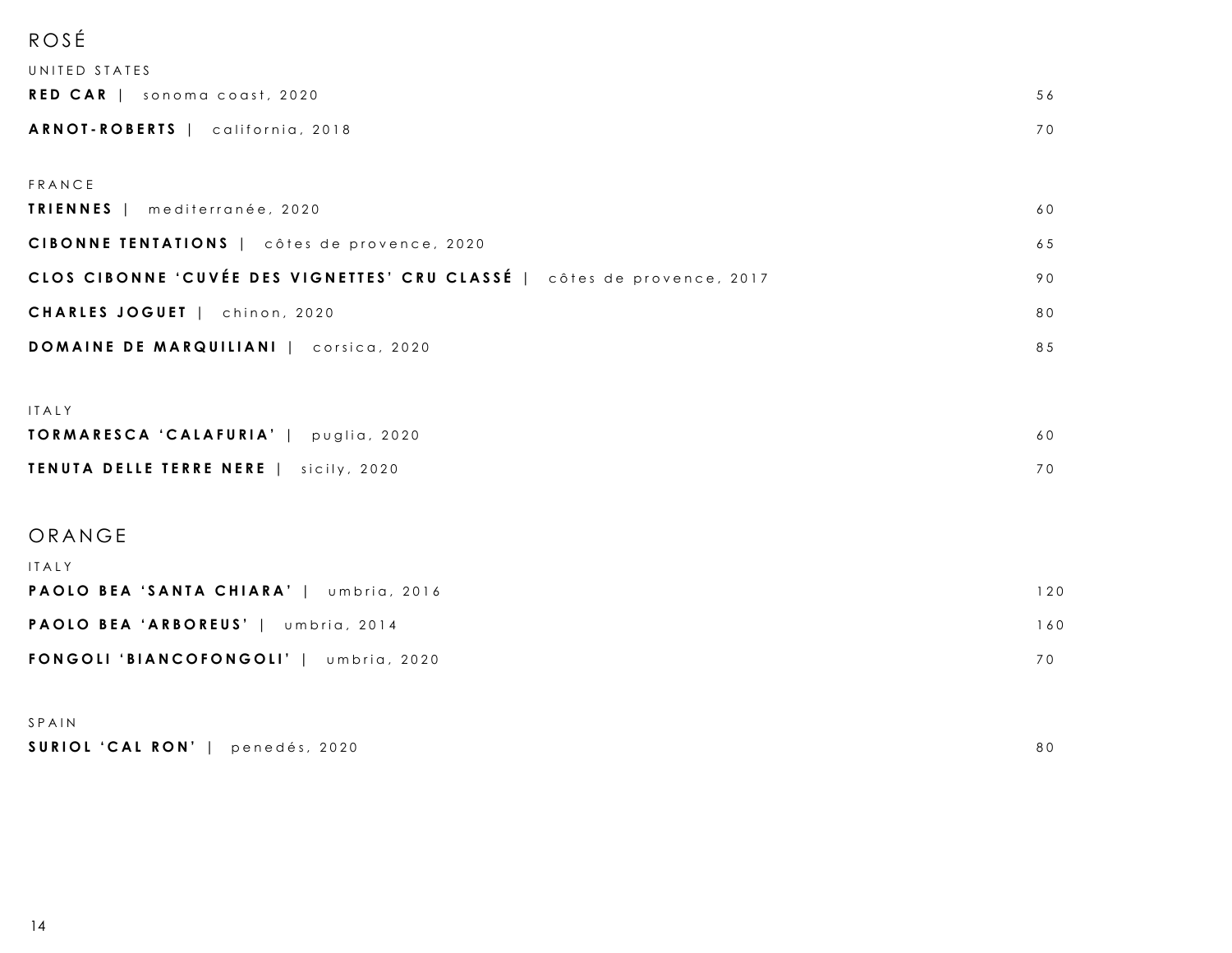## ROSÉ

| UNITED STATES                                                           |     |
|-------------------------------------------------------------------------|-----|
| RED CAR   sonoma coast, 2020                                            | 56  |
| ARNOT-ROBERTS   california, 2018                                        | 70  |
|                                                                         |     |
| FRANCE<br><b>TRIENNES</b>   mediterranée, 2020                          | 60  |
| CIBONNE TENTATIONS   côtes de provence, 2020                            |     |
|                                                                         | 65  |
| CLOS CIBONNE 'CUVÉE DES VIGNETTES' CRU CLASSÉ   côtes de provence, 2017 | 90  |
| CHARLES JOGUET   chinon, 2020                                           | 80  |
| DOMAINE DE MARQUILIANI   corsica, 2020                                  | 85  |
|                                                                         |     |
| ITALY                                                                   |     |
| TORMARESCA 'CALAFURIA'   puglia, 2020                                   | 60  |
| TENUTA DELLE TERRE NERE   sicily, 2020                                  | 70  |
|                                                                         |     |
| ORANGE                                                                  |     |
| ITALY                                                                   |     |
| PAOLO BEA 'SANTA CHIARA'   umbria, 2016                                 | 120 |
| PAOLO BEA 'ARBOREUS'   umbria, 2014                                     | 160 |
| FONGOLI 'BIANCOFONGOLI'   umbria, 2020                                  | 70  |
|                                                                         |     |
| SPAIN                                                                   |     |

| SURIOL 'CAL RON'   penedés, 2020 |  | 80 |
|----------------------------------|--|----|
|----------------------------------|--|----|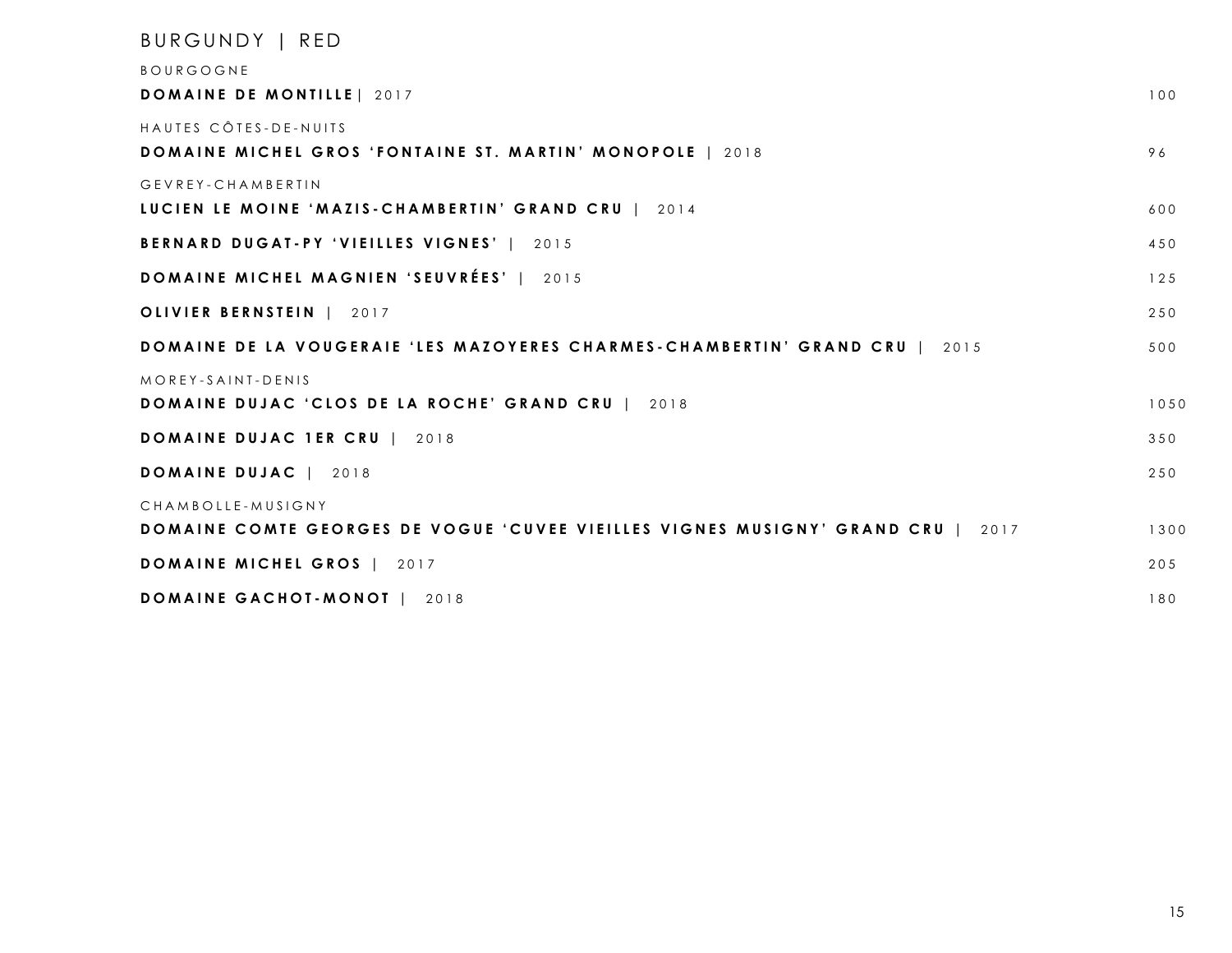| BURGUNDY   RED                                                                         |      |
|----------------------------------------------------------------------------------------|------|
| <b>BOURGOGNE</b>                                                                       |      |
| <b>DOMAINE DE MONTILLE   2017</b>                                                      | 100  |
| HAUTES CÔTES-DE-NUITS                                                                  |      |
| <b>DOMAINE MICHEL GROS 'FONTAINE ST. MARTIN' MONOPOLE   2018</b>                       | 96   |
| GEVREY-CHAMBERTIN                                                                      |      |
| LUCIEN LE MOINE 'MAZIS-CHAMBERTIN' GRAND CRU   2014                                    | 600  |
| BERNARD DUGAT-PY 'VIEILLES VIGNES'   2015                                              | 450  |
| DOMAINE MICHEL MAGNIEN 'SEUVRÉES'   2015                                               | 125  |
| OLIVIER BERNSTEIN   2017                                                               | 250  |
| DOMAINE DE LA VOUGERAIE 'LES MAZOYERES CHARMES-CHAMBERTIN' GRAND CRU   2015            | 500  |
| MOREY-SAINT-DENIS                                                                      |      |
| <b>DOMAINE DUJAC 'CLOS DE LA ROCHE' GRAND CRU   2018</b>                               | 1050 |
| <b>DOMAINE DUJAC 1ER CRU   2018</b>                                                    | 350  |
| <b>DOMAINE DUJAC   2018</b>                                                            | 250  |
| CHAMBOLLE-MUSIGNY                                                                      |      |
| <b>DOMAINE COMTE GEORGES DE VOGUE 'CUVEE VIEILLES VIGNES MUSIGNY' GRAND CRU   2017</b> | 1300 |
| DOMAINE MICHEL GROS   2017                                                             | 205  |
| DOMAINE GACHOT-MONOT<br>2018                                                           | 180  |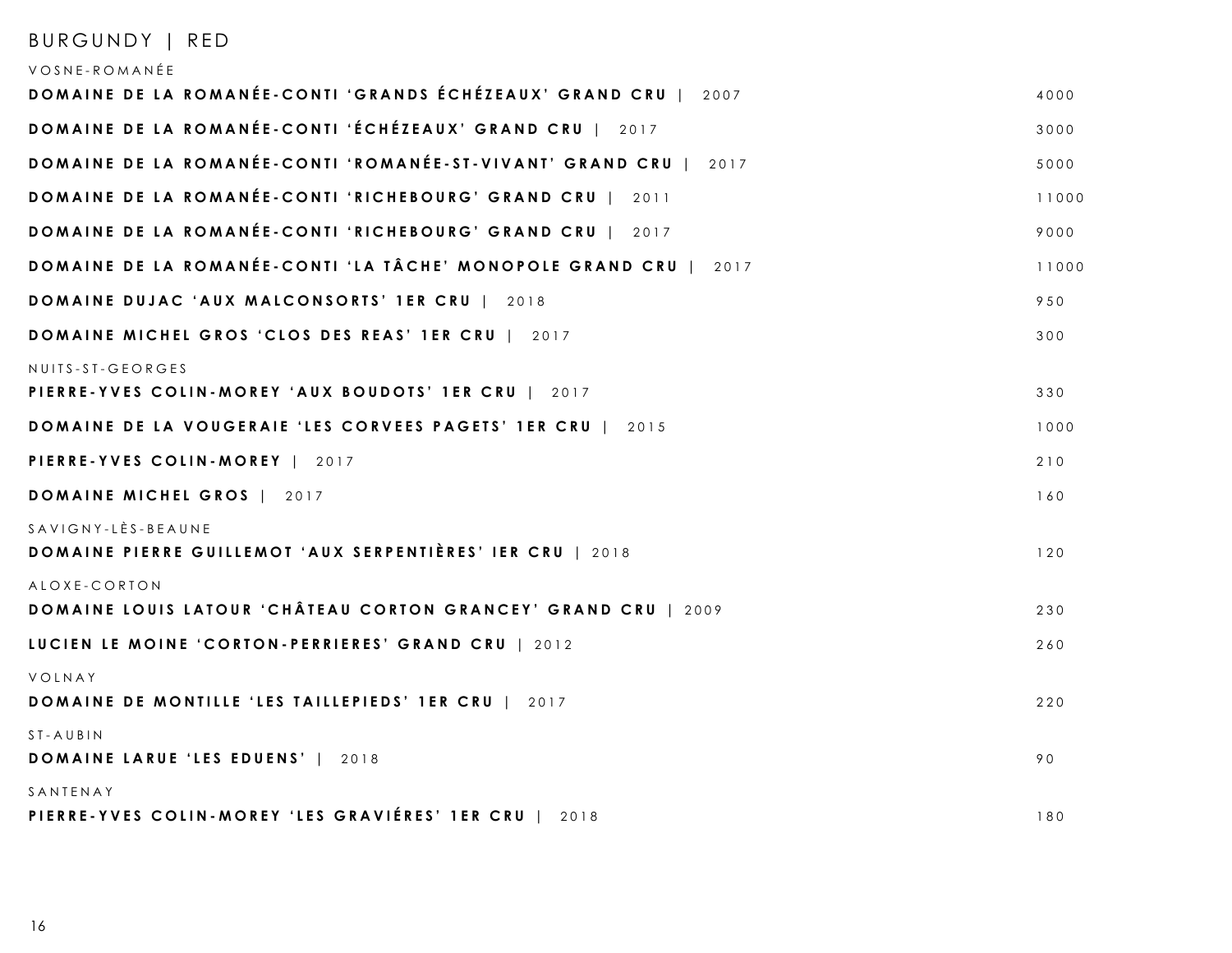| BURGUNDY   RED                                                                                |       |
|-----------------------------------------------------------------------------------------------|-------|
| VOSNE-ROMANÉE                                                                                 |       |
| DOMAINE DE LA ROMANÉE-CONTI 'GRANDS ÉCHÉZEAUX' GRAND CRU   2007                               | 4000  |
| <b>DOMAINE DE LA ROMANÉE-CONTI 'ÉCHÉZEAUX' GRAND CRU   2017</b>                               | 3000  |
| DOMAINE DE LA ROMANÉE-CONTI 'ROMANÉE-ST-VIVANT' GRAND CRU   2017                              | 5000  |
| DOMAINE DE LA ROMANÉE-CONTI 'RICHEBOURG' GRAND CRU   2011                                     | 11000 |
| DOMAINE DE LA ROMANÉE-CONTI 'RICHEBOURG' GRAND CRU   2017                                     | 9000  |
| DOMAINE DE LA ROMANÉE-CONTI 'LA TÂCHE' MONOPOLE GRAND CRU   2017                              | 11000 |
| DOMAINE DUJAC 'AUX MALCONSORTS' 1ER CRU   2018                                                | 950   |
| <b>DOMAINE MICHEL GROS 'CLOS DES REAS' 1ER CRU   2017</b>                                     | 300   |
| NUITS-ST-GEORGES<br>PIERRE-YVES COLIN-MOREY 'AUX BOUDOTS' 1ER CRU   2017                      | 330   |
| DOMAINE DE LA VOUGERAIE 'LES CORVEES PAGETS' 1ER CRU   2015                                   | 1000  |
| PIERRE-YVES COLIN-MOREY   2017                                                                | 210   |
| DOMAINE MICHEL GROS   2017                                                                    | 160   |
| $SAYIGNY - LÈS - BEAUNE$<br><b>DOMAINE PIERRE GUILLEMOT 'AUX SERPENTIÈRES' IER CRU</b>   2018 | 120   |
| ALOXE-CORTON<br><b>DOMAINE LOUIS LATOUR 'CHÂTEAU CORTON GRANCEY' GRAND CRU   2009</b>         | 230   |
| LUCIEN LE MOINE 'CORTON-PERRIERES' GRAND CRU   2012                                           | 260   |
| VOLNAY<br><b>DOMAINE DE MONTILLE 'LES TAILLEPIEDS' 1ER CRU   2017</b>                         | 220   |
| ST-AUBIN<br><b>DOMAINE LARUE 'LES EDUENS'   2018</b>                                          | 90    |
| SANTENAY<br>PIERRE-YVES COLIN-MOREY 'LES GRAVIÉRES' 1ER CRU  <br>2018                         | 180   |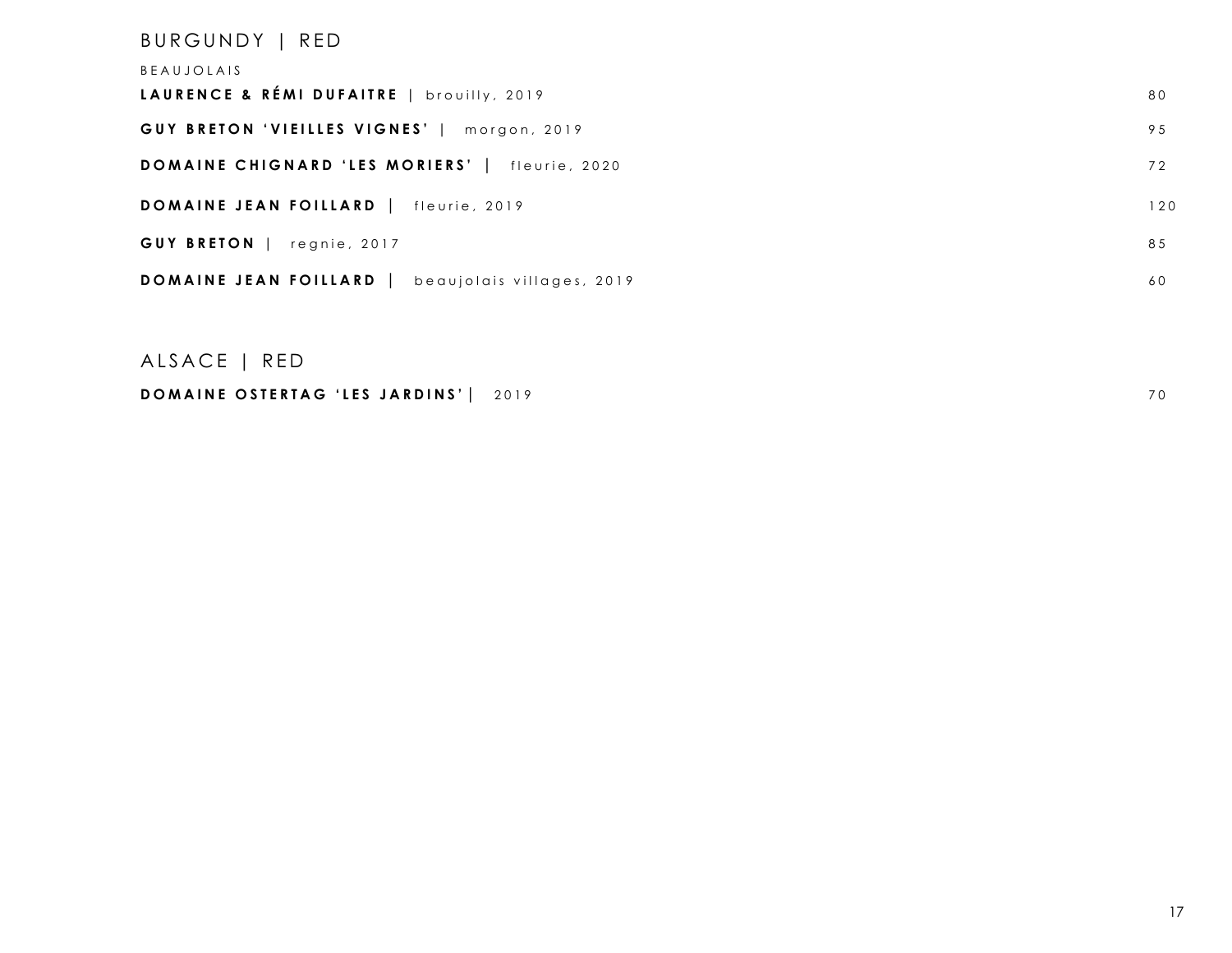## BURGUNDY | RED BEAUJOLAIS LAURENCE & RÉMI DUFAITRE | brouilly, 2019 80 **GUY BRETON 'VIEILLES VIGNES'** | morgon , 201 9 9 5 **DOMAINE CHIGNARD 'LES MORIERS'** | fleurie, 2020 72 **DOMAINE JEAN FOILLARD** | fleurie, 2019 120 **GUY BRETON** | regnie, 2017 85 **DOMAINE JEAN FOILLARD** | beaujolais villages, 2019 60

#### ALSACE | RED

#### **DOMAINE OSTERTAG 'LES JARDINS'** | 2019 70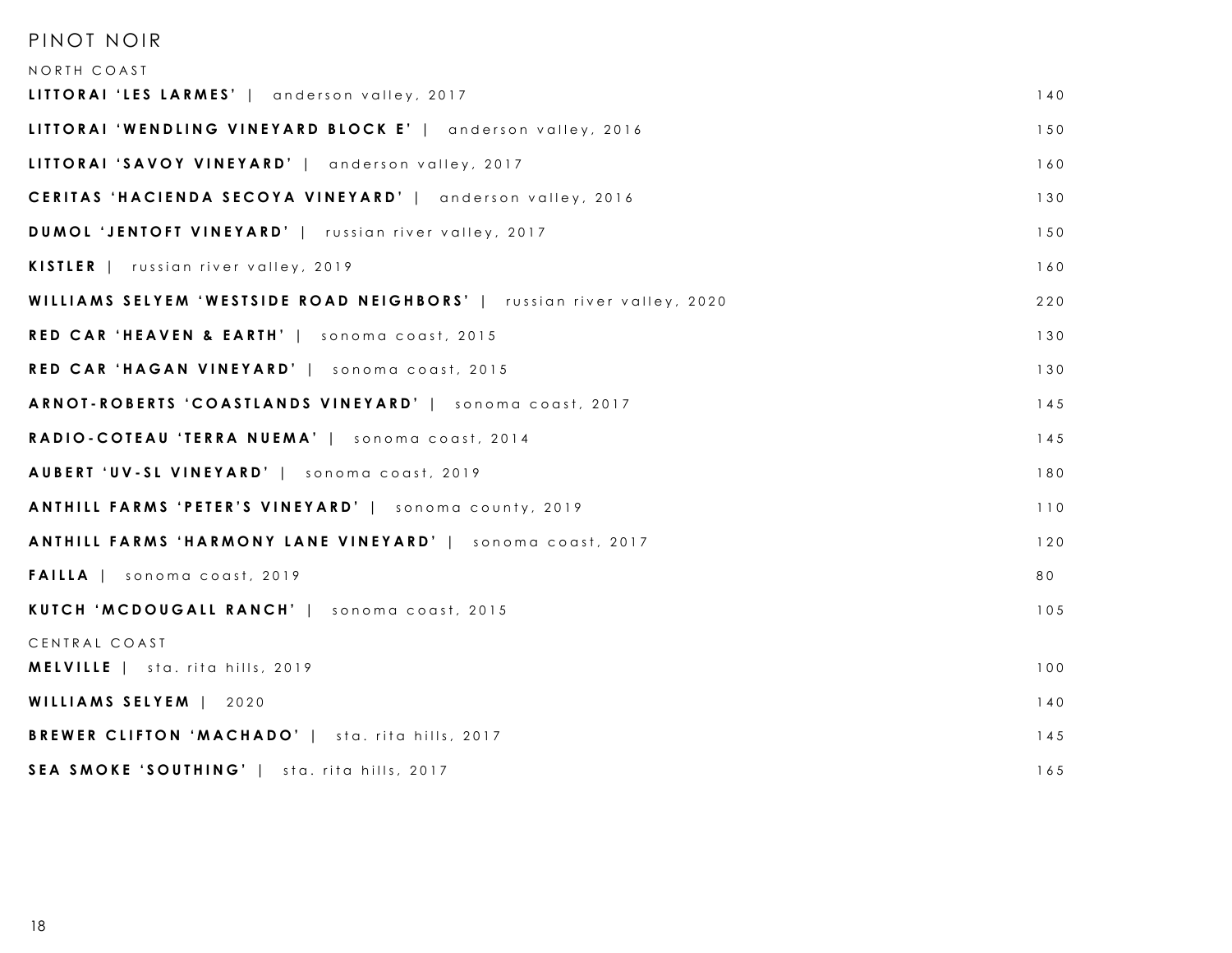### PINOT NOIR

| NORTH COAST                                                            |     |
|------------------------------------------------------------------------|-----|
| LITTORAI 'LES LARMES'   anderson valley, 2017                          | 140 |
| LITTORAI 'WENDLING VINEYARD BLOCK E'   anderson valley, 2016           | 150 |
| LITTORAI 'SAVOY VINEYARD'   anderson valley, 2017                      | 160 |
| CERITAS 'HACIENDA SECOYA VINEYARD'   anderson valley, 2016             | 130 |
| DUMOL 'JENTOFT VINEYARD'   russian river valley, 2017                  | 150 |
| KISTLER   russian river valley, 2019                                   | 160 |
| WILLIAMS SELYEM 'WESTSIDE ROAD NEIGHBORS'   russian river valley, 2020 | 220 |
| RED CAR 'HEAVEN & EARTH'   sonoma coast, 2015                          | 130 |
| RED CAR 'HAGAN VINEYARD'   sonoma coast, 2015                          | 130 |
| ARNOT-ROBERTS 'COASTLANDS VINEYARD'   sonoma coast, 2017               | 145 |
| RADIO-COTEAU 'TERRA NUEMA'   sonoma coast, 2014                        | 145 |
| AUBERT 'UV-SL VINEYARD'   sonoma coast, 2019                           | 180 |
| ANTHILL FARMS 'PETER'S VINEYARD'   sonoma county, 2019                 | 110 |
| ANTHILL FARMS 'HARMONY LANE VINEYARD'   sonoma coast, 2017             | 120 |
| <b>FAILLA</b>   sonoma coast, 2019                                     | 80  |
| KUTCH 'MCDOUGALL RANCH'   sonoma coast, 2015                           | 105 |
| CENTRAL COAST                                                          |     |
| MELVILLE   sta. rita hills, 2019                                       | 100 |
| WILLIAMS SELYEM   2020                                                 | 140 |
| BREWER CLIFTON 'MACHADO'   sta. rita hills, 2017                       | 145 |
| SEA SMOKE 'SOUTHING'   sta. rita hills, 2017                           | 165 |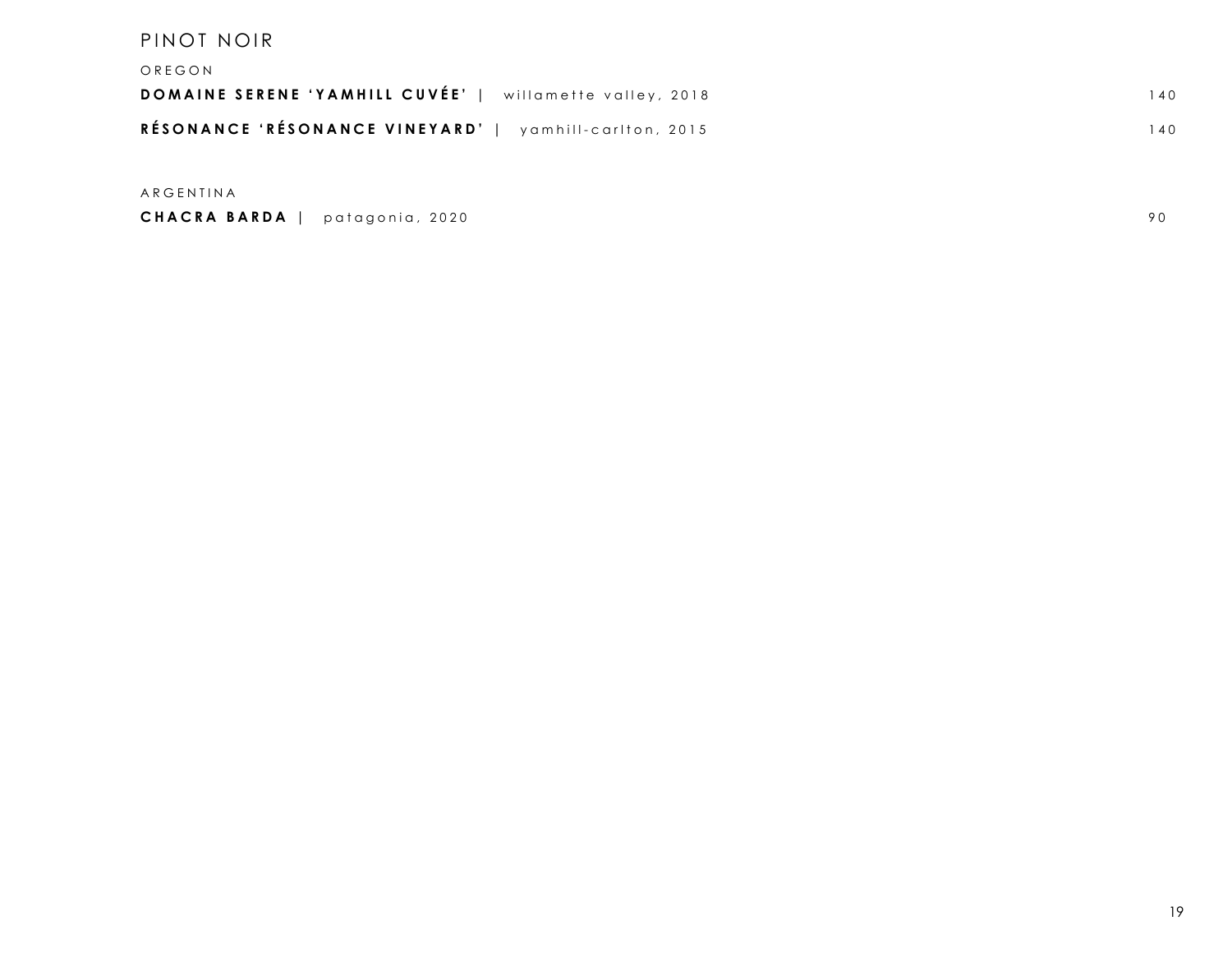#### PINOT NOIR

| OREGON                                                          |     |
|-----------------------------------------------------------------|-----|
| <b>DOMAINE SERENE 'YAMHILL CUVÉE'</b>   willamette valley, 2018 | 140 |
| RÉSONANCE 'RÉSONANCE VINEYARD'   yamhill-carlton, 2015          | 140 |
|                                                                 |     |

ARGENTINA

**CHACRA BARDA** | patagonia, 2020 90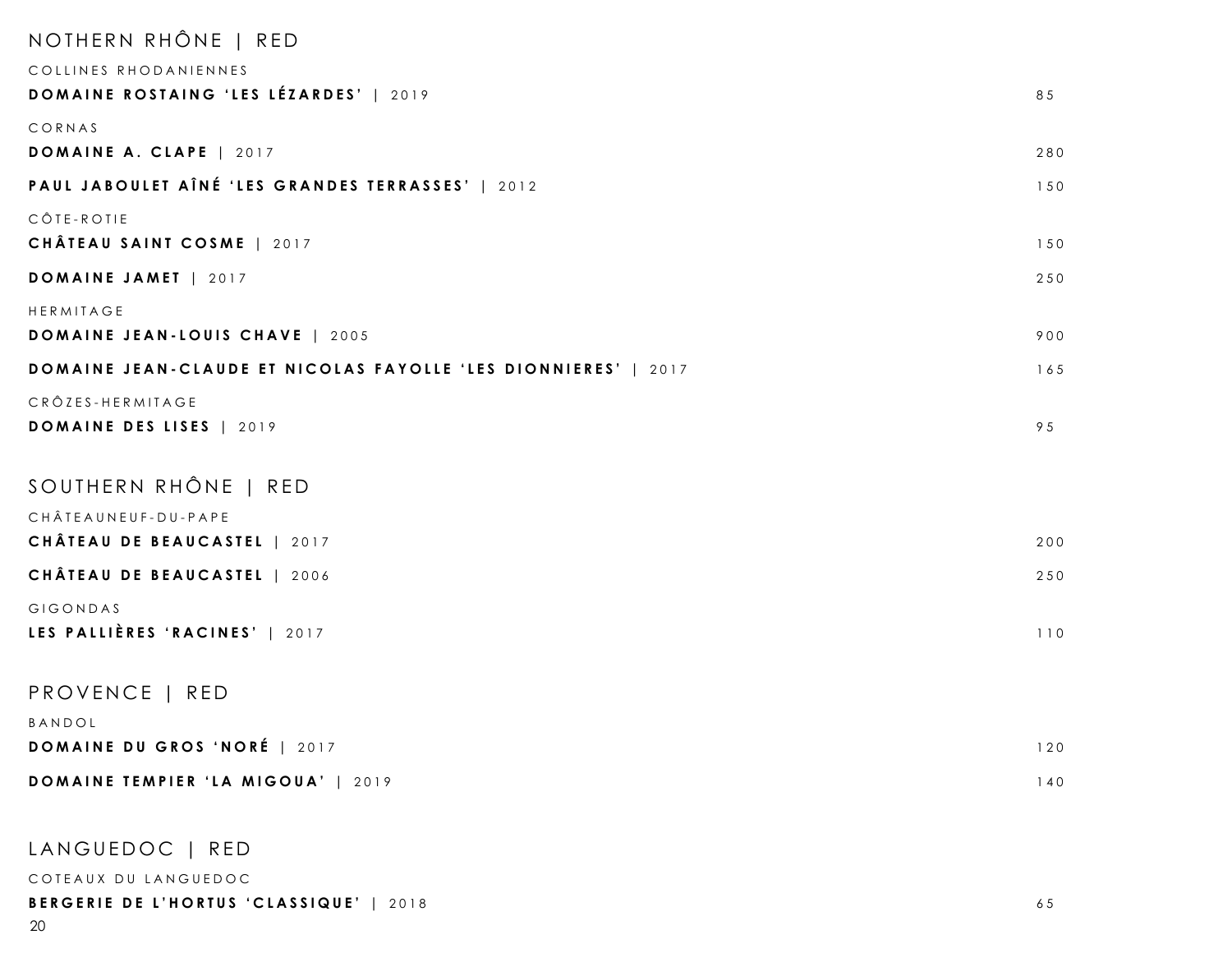| NOTHERN RHÔNE   RED                                                   |     |
|-----------------------------------------------------------------------|-----|
| COLLINES RHODANIENNES                                                 |     |
| DOMAINE ROSTAING 'LES LÉZARDES'   2019                                | 85  |
| CORNAS                                                                |     |
| DOMAINE A. CLAPE   2017                                               | 280 |
| PAUL JABOULET AÎNÉ 'LES GRANDES TERRASSES'   2012                     | 150 |
| CÔTE-ROTIE                                                            |     |
| CHÂTEAU SAINT COSME   2017                                            | 150 |
| DOMAINE JAMET   2017                                                  | 250 |
| HERMITAGE                                                             |     |
| DOMAINE JEAN-LOUIS CHAVE   2005                                       | 900 |
| <b>DOMAINE JEAN-CLAUDE ET NICOLAS FAYOLLE 'LES DIONNIERES'</b>   2017 | 165 |
| CRÔZES-HERMITAGE                                                      |     |
| DOMAINE DES LISES   2019                                              | 95  |
|                                                                       |     |
| SOUTHERN RHÔNE   RED                                                  |     |
| CHÂTEAUNEUF-DU-PAPE<br>CHÂTEAU DE BEAUCASTEL   2017                   | 200 |
| CHÂTEAU DE BEAUCASTEL   2006                                          | 250 |
| GIGONDAS                                                              |     |
| LES PALLIÈRES 'RACINES'   2017                                        | 110 |
|                                                                       |     |
| PROVENCE   RED                                                        |     |
| BANDOL                                                                |     |
| DOMAINE DU GROS 'NORÉ   2017                                          | 120 |
| DOMAINE TEMPIER 'LA MIGOUA'   2019                                    | 140 |
| LANGUEDOC   RED                                                       |     |
| COTEAUX DU LANGUEDOC                                                  |     |
| BERGERIE DE L'HORTUS 'CLASSIQUE'   2018                               | 65  |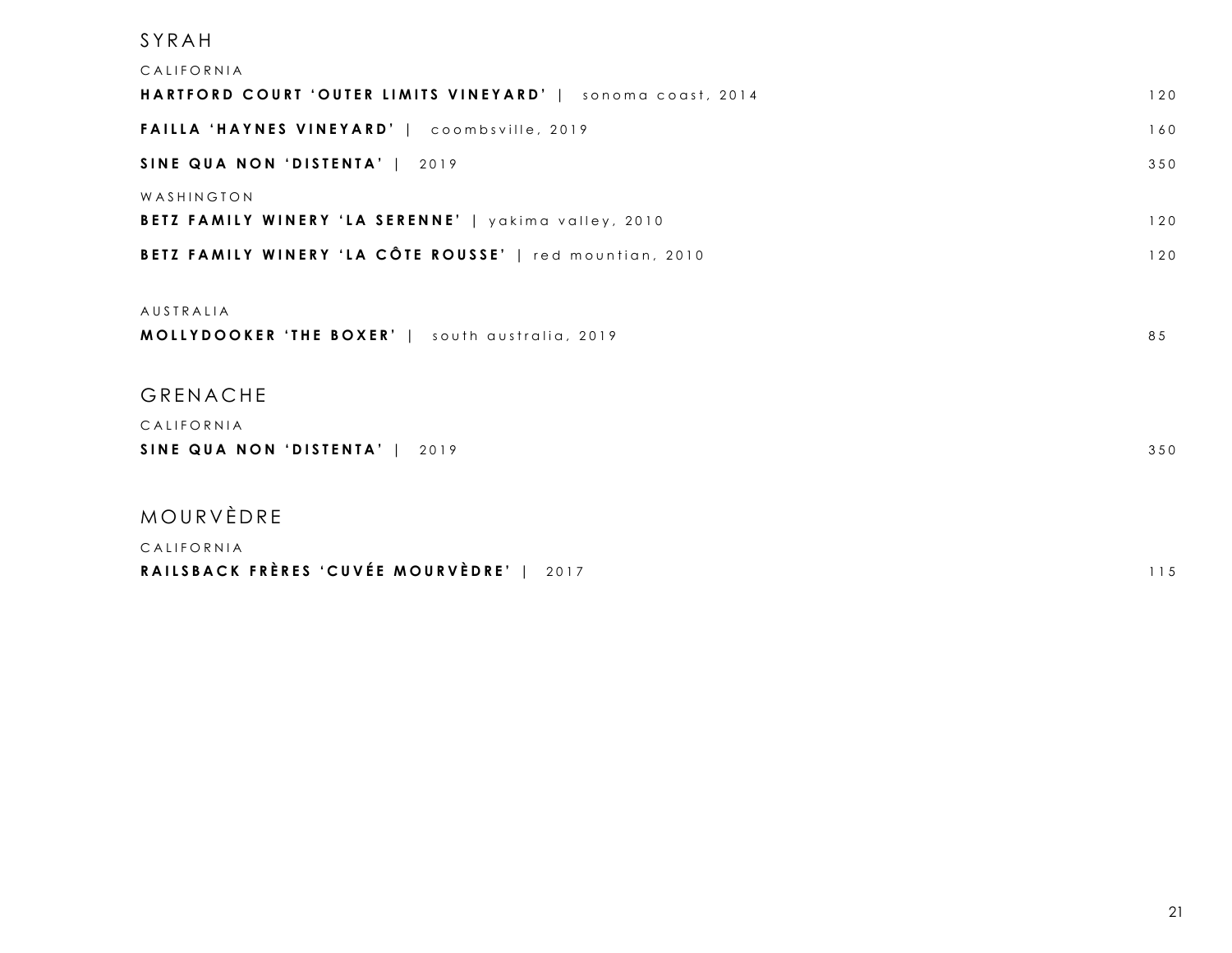| SYRAH                                                       |     |
|-------------------------------------------------------------|-----|
| CALIFORNIA                                                  |     |
| HARTFORD COURT 'OUTER LIMITS VINEYARD'   sonoma coast, 2014 | 120 |
| FAILLA 'HAYNES VINEYARD'   coombsville, 2019                | 160 |
| SINE QUA NON 'DISTENTA'   2019                              | 350 |
| WASHINGTON                                                  |     |
| BETZ FAMILY WINERY 'LA SERENNE'   yakima valley, 2010       | 120 |
| BETZ FAMILY WINERY 'LA CÔTE ROUSSE'   red mountian, 2010    | 120 |
| AUSTRALIA                                                   |     |
| MOLLYDOOKER 'THE BOXER'   south australia, 2019             | 85  |
| GRENACHE                                                    |     |
| CALIFORNIA                                                  |     |
| SINE QUA NON 'DISTENTA'   2019                              | 350 |
| MOURVÈDRE                                                   |     |
| CALIFORNIA                                                  |     |

| RAILSBACK FRÈRES 'CUVÉE MOURVÈDRE'   2017 |  | 115 |
|-------------------------------------------|--|-----|
|-------------------------------------------|--|-----|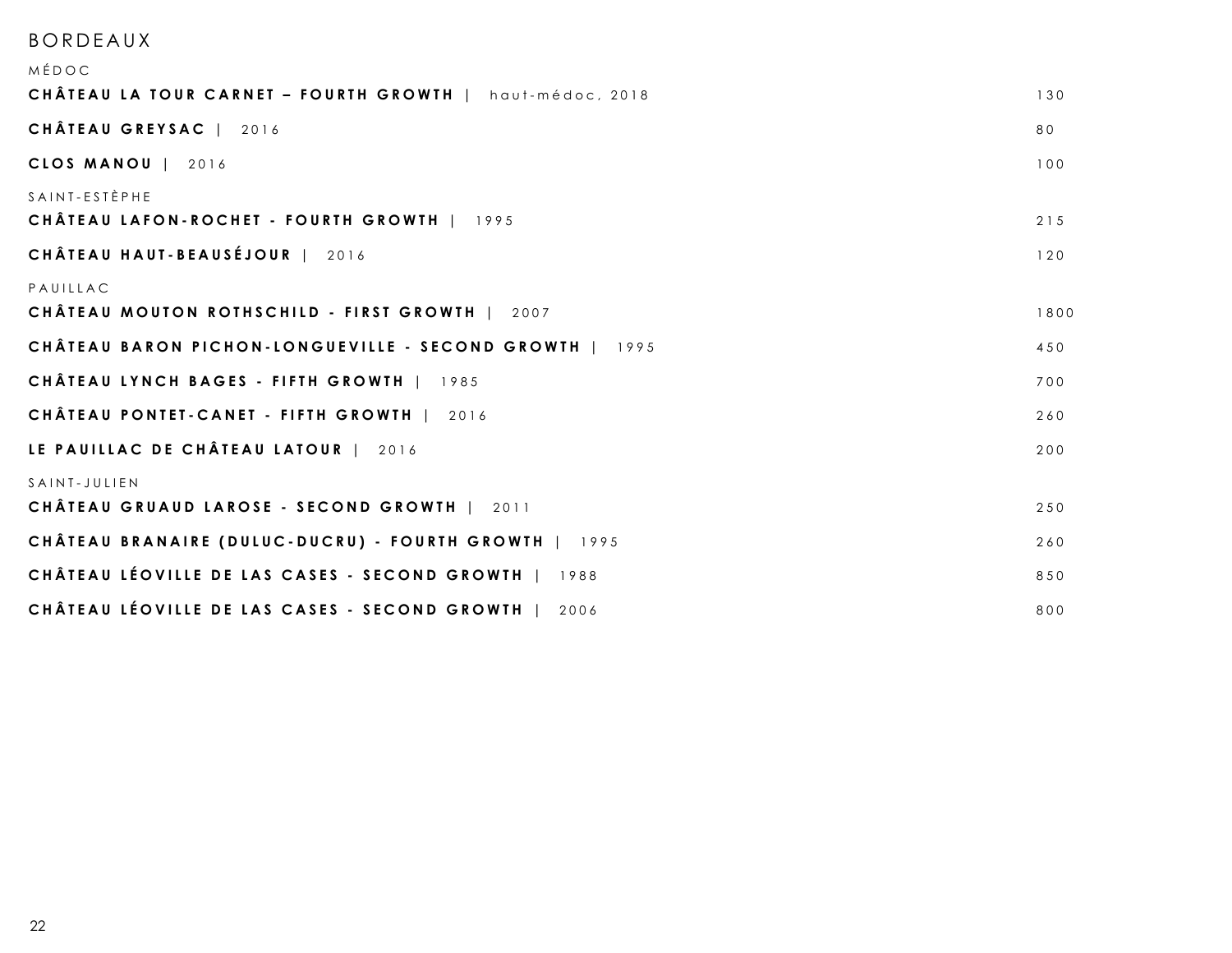### BORDEAUX

| MÉDOC                                                                     |      |
|---------------------------------------------------------------------------|------|
| CHÂTEAU LA TOUR CARNET - FOURTH GROWTH   haut-médoc, 2018                 | 130  |
| CHÂTEAU GREYSAC   2016                                                    | 80   |
| CLOS MANOU   2016                                                         | 100  |
| $S$ A IN T - E S T È P H E<br>CHÂTEAU LAFON-ROCHET - FOURTH GROWTH   1995 | 215  |
| CHÂTEAU HAUT-BEAUSÉJOUR   2016                                            | 120  |
| PAUILLAC<br>CHÂTEAU MOUTON ROTHSCHILD - FIRST GROWTH   2007               | 1800 |
| CHÂTEAU BARON PICHON-LONGUEVILLE - SECOND GROWTH   1995                   | 450  |
| CHÂTEAU LYNCH BAGES - FIFTH GROWTH   1985                                 | 700  |
| CHÂTEAU PONTET-CANET - FIFTH GROWTH   2016                                | 260  |
| LE PAUILLAC DE CHÂTEAU LATOUR   2016                                      | 200  |
| SAINT-JULIEN<br>CHÂTEAU GRUAUD LAROSE - SECOND GROWTH   2011              | 250  |
| CHÂTEAU BRANAIRE (DULUC-DUCRU) - FOURTH GROWTH   1995                     | 260  |
| CHÂTEAU LÉOVILLE DE LAS CASES - SECOND GROWTH   1988                      | 850  |
| CHÂTEAU LÉOVILLE DE LAS CASES - SECOND GROWTH<br>2006                     | 800  |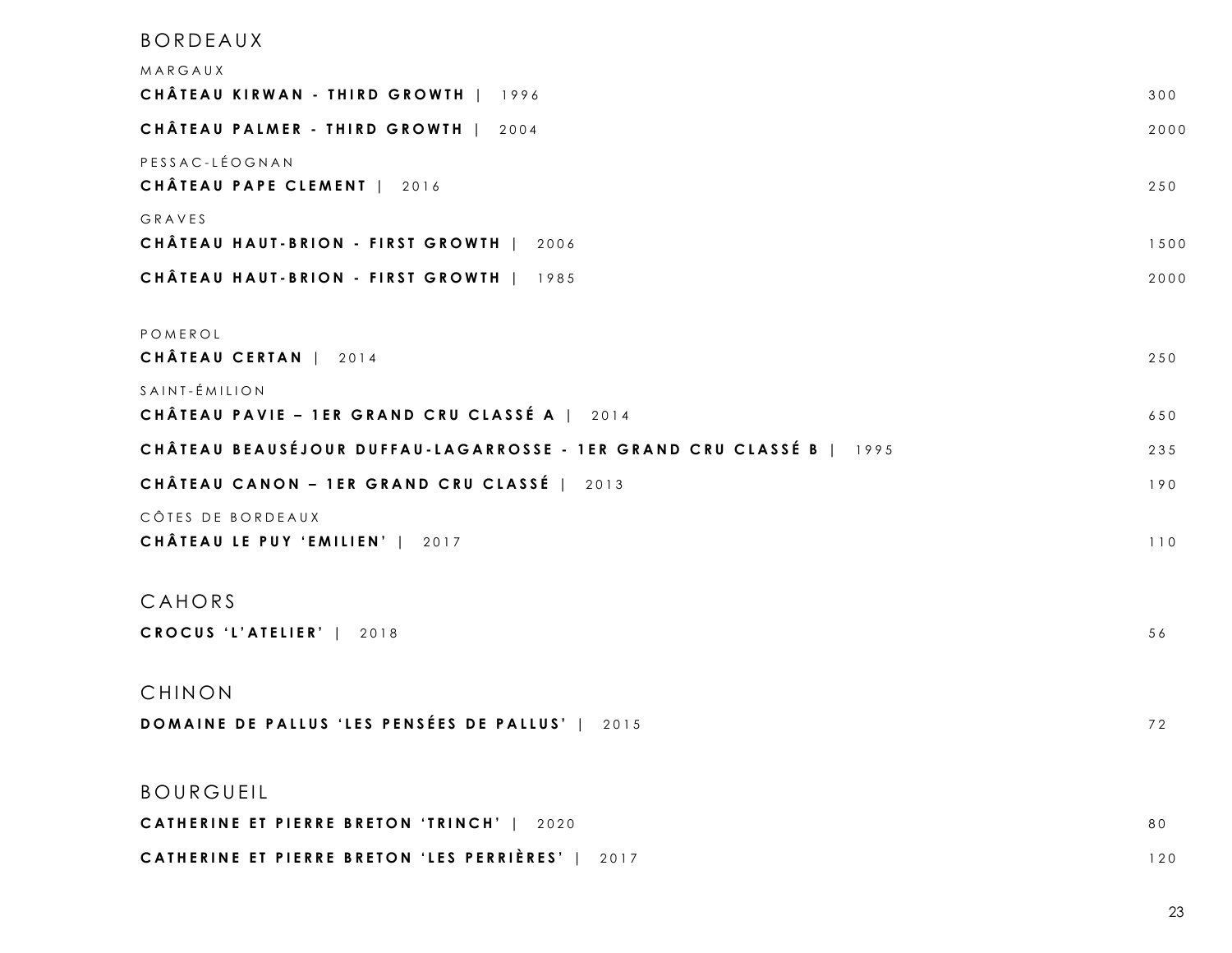# BORDEAUX MARGAUX **CHÂTEAU KIRWAN - THIRD GROWTH** | 1996 300 **CHÂTEAU PALMER - THIRD GROWTH** | 2004 2000 PESSAC - LÉOGNAN **CHÂTEAU PAPE CLEMENT** | 2016 GRAVES **CHÂTEAU HAUT - BRION - FIRST GROWTH** | 2 0 0 6 1500 **CHÂTEAU HAUT - BRION - FIRST GROWTH** | 1985 2000 POMEROL **CHÂTEAU CERTAN** | 2014 250 SAINT - ÉMILION **CHÂTEAU PAVIE – 1ER GRAND CRU CLASSÉ A** | 2014 650 **CHÂTEAU BEAUSÉJOUR DUFFAU - LAGARROSSE - 1ER GRAND CRU CLASSÉ B** | 1995 2 3 5 **CHÂTEAU CANON – 1ER GRAND CRU CLASSÉ** | 2013 190 CÔTES DE BORDEAUX **CHÂTEAU LE PUY 'EMILIEN'** | 2017 CAHORS **CROCUS 'L'ATELIER'** | 2018 56 CHINON **DOMAINE DE PALLUS 'LES PENSÉES DE PALLUS' | 2015** 72 BOURGUEIL **CATHERINE ET PIERRE BRETON ' TRINCH '** | 2 0 2 0 8 0 **CATHERINE ET PIERRE BRETON ' LES PERRIÈRES '** | 2 0 1 7 120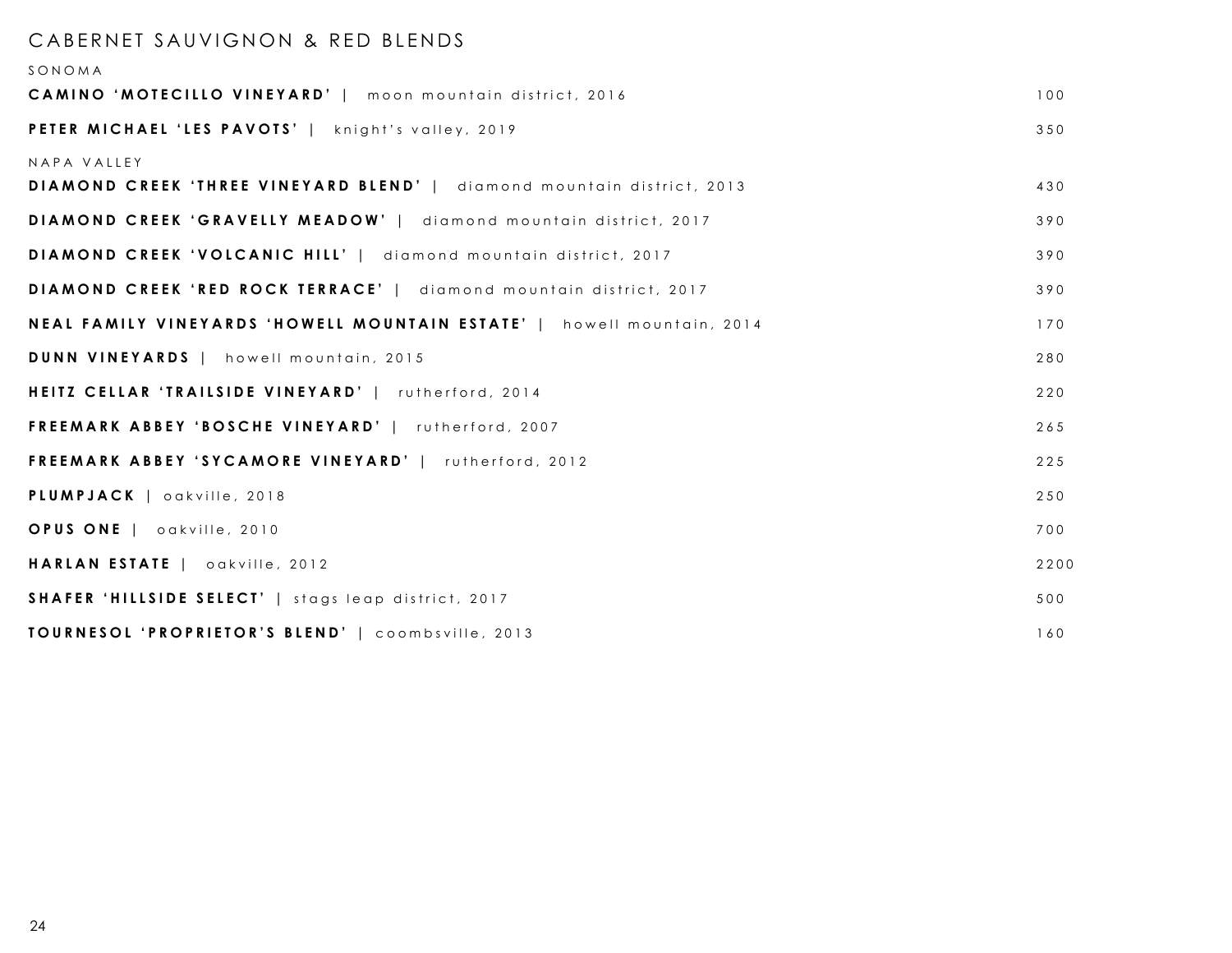#### CABERNET SAUVIGNON & RED BLENDS

| SONOMA                                                                                |      |
|---------------------------------------------------------------------------------------|------|
| <b>CAMINO 'MOTECILLO VINEYARD'</b>   moon mountain district, 2016                     | 100  |
| <b>PETER MICHAEL 'LES PAVOTS'</b>   knight's valley, 2019                             | 350  |
| NAPA VALLEY<br>DIAMOND CREEK 'THREE VINEYARD BLEND'   diamond mountain district, 2013 | 430  |
| DIAMOND CREEK 'GRAVELLY MEADOW'   diamond mountain district, 2017                     | 390  |
| <b>DIAMOND CREEK 'VOLCANIC HILL'</b>   diamond mountain district, 2017                | 390  |
| <b>DIAMOND CREEK 'RED ROCK TERRACE'</b>   diamond mountain district, 2017             | 390  |
| NEAL FAMILY VINEYARDS 'HOWELL MOUNTAIN ESTATE'   howell mountain, 2014                | 170  |
| <b>DUNN VINEYARDS</b>   howell mountain, 2015                                         | 280  |
| HEITZ CELLAR 'TRAILSIDE VINEYARD'   rutherford, 2014                                  | 220  |
| <b>FREEMARK ABBEY 'BOSCHE VINEYARD'</b>   rutherford, 2007                            | 265  |
| <b>FREEMARK ABBEY 'SYCAMORE VINEYARD'</b>   rutherford, 2012                          | 225  |
| PLUMPJACK   oakville, 2018                                                            | 250  |
| OPUS ONE   oakville, 2010                                                             | 700  |
| HARLAN ESTATE   oakville, 2012                                                        | 2200 |
| <b>SHAFER 'HILLSIDE SELECT'</b>   stags leap district, 2017                           | 500  |
| TOURNESOL 'PROPRIETOR'S BLEND'   coombsville, 2013                                    | 160  |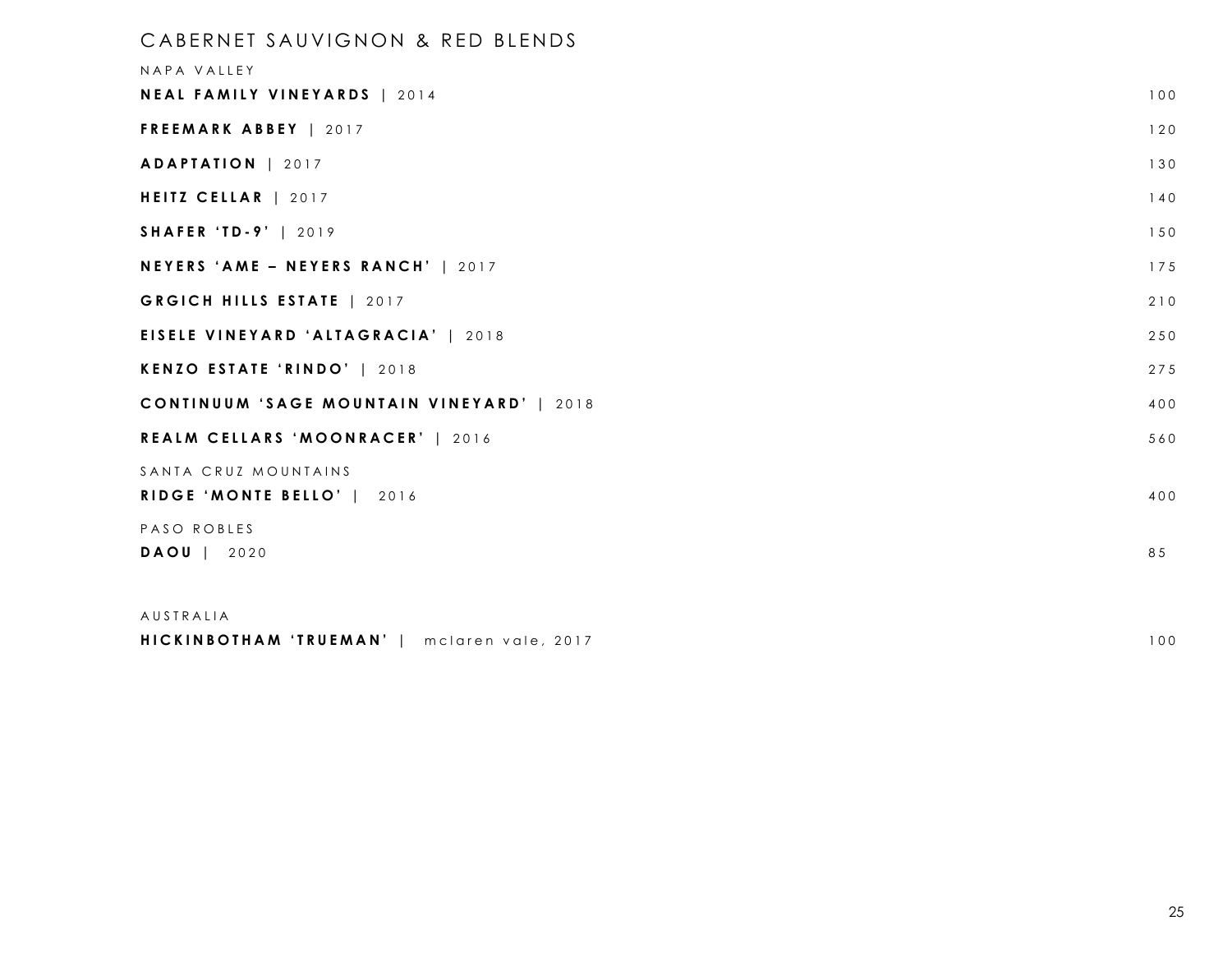| CABERNET SAUVIGNON & RED BLENDS<br>NAPA VALLEY     |     |
|----------------------------------------------------|-----|
| NEAL FAMILY VINEYARDS   2014                       | 100 |
| FREEMARK ABBEY   2017                              | 120 |
| ADAPTATION   2017                                  | 130 |
| HEITZ CELLAR   2017                                | 140 |
| <b>SHAFER 'TD-9'   2019</b>                        | 150 |
| NEYERS 'AME - NEYERS RANCH'   2017                 | 175 |
| GRGICH HILLS ESTATE   2017                         | 210 |
| <b>EISELE VINEYARD 'ALTAGRACIA'   2018</b>         | 250 |
| KENZO ESTATE 'RINDO'   2018                        | 275 |
| CONTINUUM 'SAGE MOUNTAIN VINEYARD'   2018          | 400 |
| REALM CELLARS 'MOONRACER'   2016                   | 560 |
| SANTA CRUZ MOUNTAINS<br>RIDGE 'MONTE BELLO'   2016 | 400 |
| PASO ROBLES                                        |     |
| DAOU   2020                                        | 85  |
| AUSTRALIA                                          |     |

### **HICKINBOTHAM 'TRUEMAN'** | mclaren vale, 2017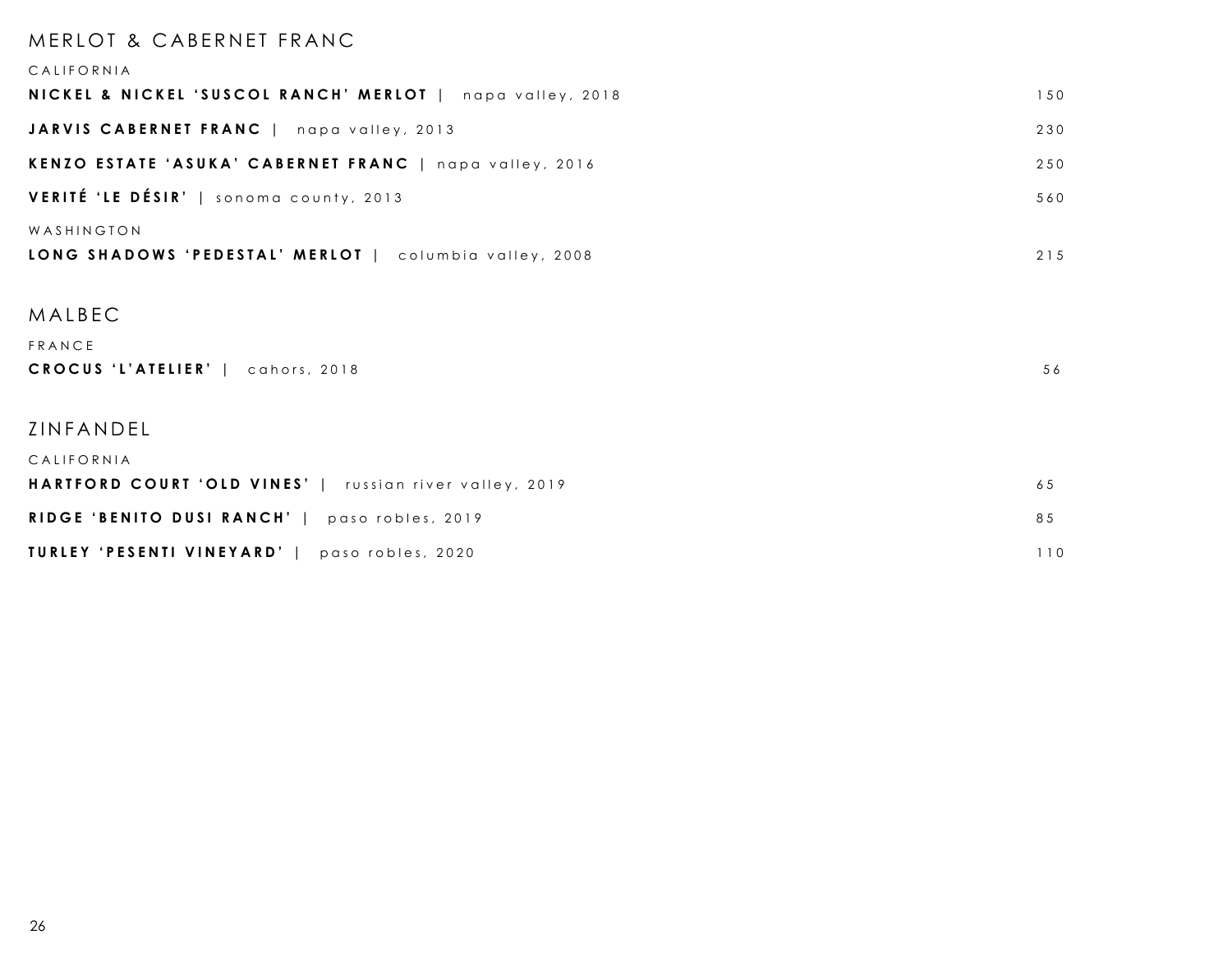## MERLOT & CABERNET FRANC CALIFORNIA **NICKEL & NICKEL 'SUSCOL RANCH' MERLOT** | napa valley, 2018 150 **JARVIS CABERNET FRANC** | napa valley, 2013 230 **KENZO ESTATE 'ASUKA' CABERNET FRANC** | napa valley, 2016 250 **VERITÉ 'LE DÉSIR'** | sonoma county, 2013 560 WASHINGTON **LONG SHADOWS 'PEDESTAL' MERLOT** | columbia valley, 2008 215

#### MALBEC

| FRANCE                            |    |
|-----------------------------------|----|
| CROCUS 'L'ATELIER'   cahors, 2018 | 56 |

#### ZINFANDEL

| CALIFORNIA                                                     |     |
|----------------------------------------------------------------|-----|
| <b>HARTFORD COURT 'OLD VINES'</b>   russian river valley, 2019 | 65  |
| <b>RIDGE 'BENITO DUSI RANCH'</b>   paso robles, 2019           | 85  |
| TURLEY 'PESENTI VINEYARD'  <br>paso robles, 2020               | 1 O |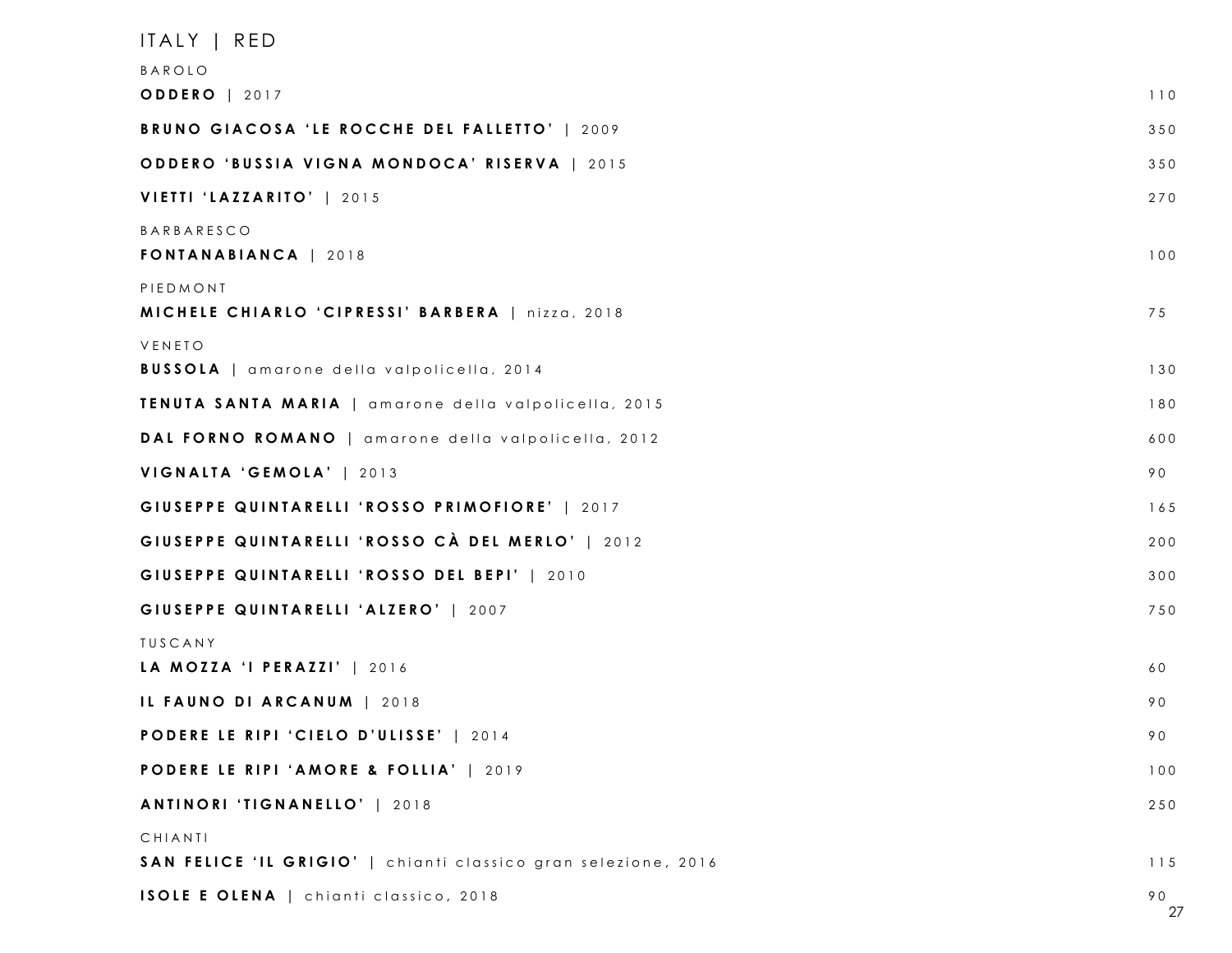| ITALY   RED                                                    |          |
|----------------------------------------------------------------|----------|
| BAROLO                                                         |          |
| <b>ODDERO</b>   2017                                           | 110      |
| BRUNO GIACOSA 'LE ROCCHE DEL FALLETTO'   2009                  | 350      |
| ODDERO 'BUSSIA VIGNA MONDOCA' RISERVA   2015                   | 350      |
| VIETTI 'LAZZARITO'   2015                                      | 270      |
| <b>BARBARESCO</b><br>FONTANABIANCA   2018                      | 100      |
| PIEDMONT<br>MICHELE CHIARLO 'CIPRESSI' BARBERA   nizza, 2018   | 75       |
| VENETO<br><b>BUSSOLA</b>   amarone della valpolicella, 2014    | 130      |
| <b>TENUTA SANTA MARIA</b>   amarone della valpolicella, 2015   | 180      |
| DAL FORNO ROMANO   amarone della valpolicella, 2012            | 600      |
| VIGNALTA 'GEMOLA'   2013                                       | 90       |
| GIUSEPPE QUINTARELLI 'ROSSO PRIMOFIORE'   2017                 | 165      |
| GIUSEPPE QUINTARELLI 'ROSSO CÀ DEL MERLO'   2012               | 200      |
| GIUSEPPE QUINTARELLI 'ROSSO DEL BEPI'   2010                   | 300      |
| GIUSEPPE QUINTARELLI 'ALZERO'   2007                           | 750      |
| TUSCANY                                                        |          |
| LA MOZZA 'I PERAZZI'   2016                                    | 60       |
| IL FAUNO DI ARCANUM   2018                                     | 90       |
| PODERE LE RIPI 'CIELO D'ULISSE'   2014                         | 90       |
| PODERE LE RIPI 'AMORE & FOLLIA'   2019                         | 100      |
| ANTINORI 'TIGNANELLO'   2018                                   | 250      |
| CHIANTI                                                        |          |
| SAN FELICE 'IL GRIGIO'   chianti classico gran selezione, 2016 | 115      |
| ISOLE E OLENA   chianti classico, 2018                         | 90<br>27 |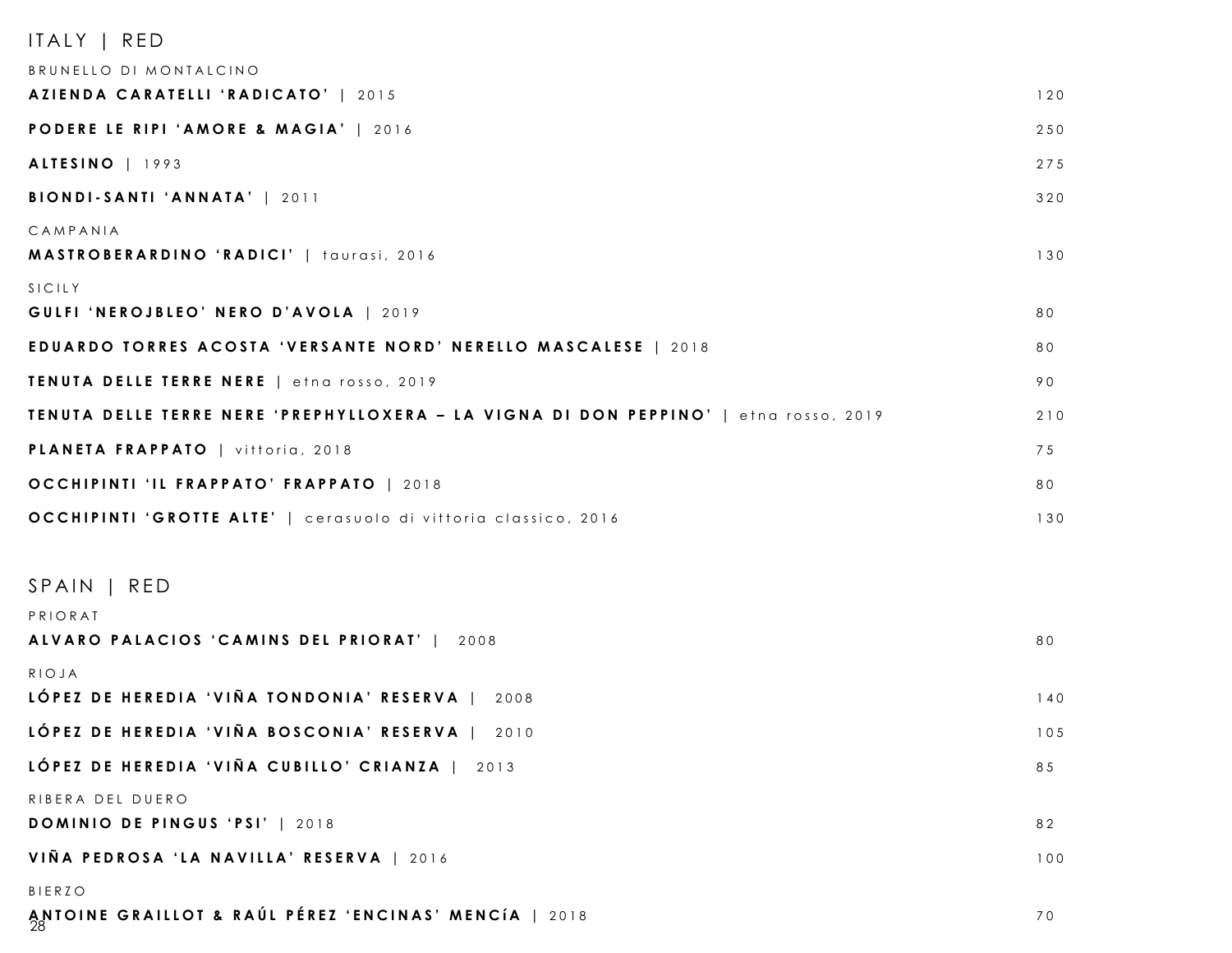### ITALY | RED

| BRUNELLO DI MONTALCINO                                                               |     |
|--------------------------------------------------------------------------------------|-----|
| AZIENDA CARATELLI 'RADICATO'   2015                                                  | 120 |
| PODERE LE RIPI 'AMORE & MAGIA'   2016                                                | 250 |
| ALTESINO   1993                                                                      | 275 |
| BIONDI-SANTI 'ANNATA'   2011                                                         | 320 |
| CAMPANIA<br>MASTROBERARDINO 'RADICI'   taurasi, 2016                                 | 130 |
| SICILY<br>GULFI 'NEROJBLEO' NERO D'AVOLA   2019                                      | 80  |
| EDUARDO TORRES ACOSTA 'VERSANTE NORD' NERELLO MASCALESE   2018                       | 80  |
| TENUTA DELLE TERRE NERE   etna rosso, 2019                                           | 90  |
| TENUTA DELLE TERRE NERE 'PREPHYLLOXERA - LA VIGNA DI DON PEPPINO'   etna rosso, 2019 | 210 |
| PLANETA FRAPPATO   vittoria, 2018                                                    | 75  |
| OCCHIPINTI 'IL FRAPPATO' FRAPPATO   2018                                             | 80  |
| OCCHIPINTI 'GROTTE ALTE'   cerasuolo di vittoria classico, 2016                      | 130 |
| SPAIN   RED                                                                          |     |
| PRIORAT<br>ALVARO PALACIOS 'CAMINS DEL PRIORAT'   2008                               | 80  |
| RIOJA                                                                                |     |
| LÓPEZ DE HEREDIA 'VIÑA TONDONIA' RESERVA  <br>2008                                   | 140 |
| LÓPEZ DE HEREDIA 'VIÑA BOSCONIA' RESERVA  <br>2010                                   | 105 |
| LÓPEZ DE HEREDIA 'VIÑA CUBILLO' CRIANZA   2013                                       | 85  |
| RIBERA DEL DUERO<br>DOMINIO DE PINGUS 'PSI'   2018                                   | 82  |
| VIÑA PEDROSA 'LA NAVILLA' RESERVA   2016                                             | 100 |
| <b>BIERZO</b><br>ANTOINE GRAILLOT & RAÚL PÉREZ 'ENCINAS' MENCÍA   2018               | 70  |